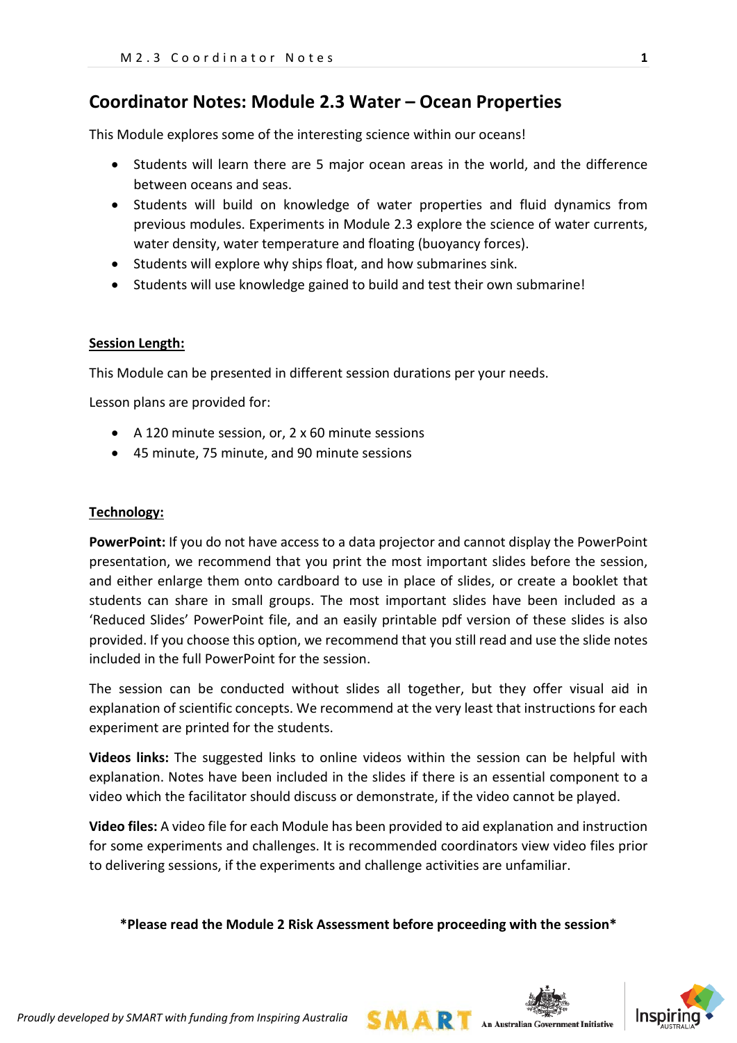## **Coordinator Notes: Module 2.3 Water – Ocean Properties**

This Module explores some of the interesting science within our oceans!

- Students will learn there are 5 major ocean areas in the world, and the difference between oceans and seas.
- Students will build on knowledge of water properties and fluid dynamics from previous modules. Experiments in Module 2.3 explore the science of water currents, water density, water temperature and floating (buoyancy forces).
- Students will explore why ships float, and how submarines sink.
- Students will use knowledge gained to build and test their own submarine!

#### **Session Length:**

This Module can be presented in different session durations per your needs.

Lesson plans are provided for:

- A 120 minute session, or, 2 x 60 minute sessions
- 45 minute, 75 minute, and 90 minute sessions

#### **Technology:**

**PowerPoint:** If you do not have access to a data projector and cannot display the PowerPoint presentation, we recommend that you print the most important slides before the session, and either enlarge them onto cardboard to use in place of slides, or create a booklet that students can share in small groups. The most important slides have been included as a 'Reduced Slides' PowerPoint file, and an easily printable pdf version of these slides is also provided. If you choose this option, we recommend that you still read and use the slide notes included in the full PowerPoint for the session.

The session can be conducted without slides all together, but they offer visual aid in explanation of scientific concepts. We recommend at the very least that instructions for each experiment are printed for the students.

**Videos links:** The suggested links to online videos within the session can be helpful with explanation. Notes have been included in the slides if there is an essential component to a video which the facilitator should discuss or demonstrate, if the video cannot be played.

**Video files:** A video file for each Module has been provided to aid explanation and instruction for some experiments and challenges. It is recommended coordinators view video files prior to delivering sessions, if the experiments and challenge activities are unfamiliar.

#### **\*Please read the Module 2 Risk Assessment before proceeding with the session\***

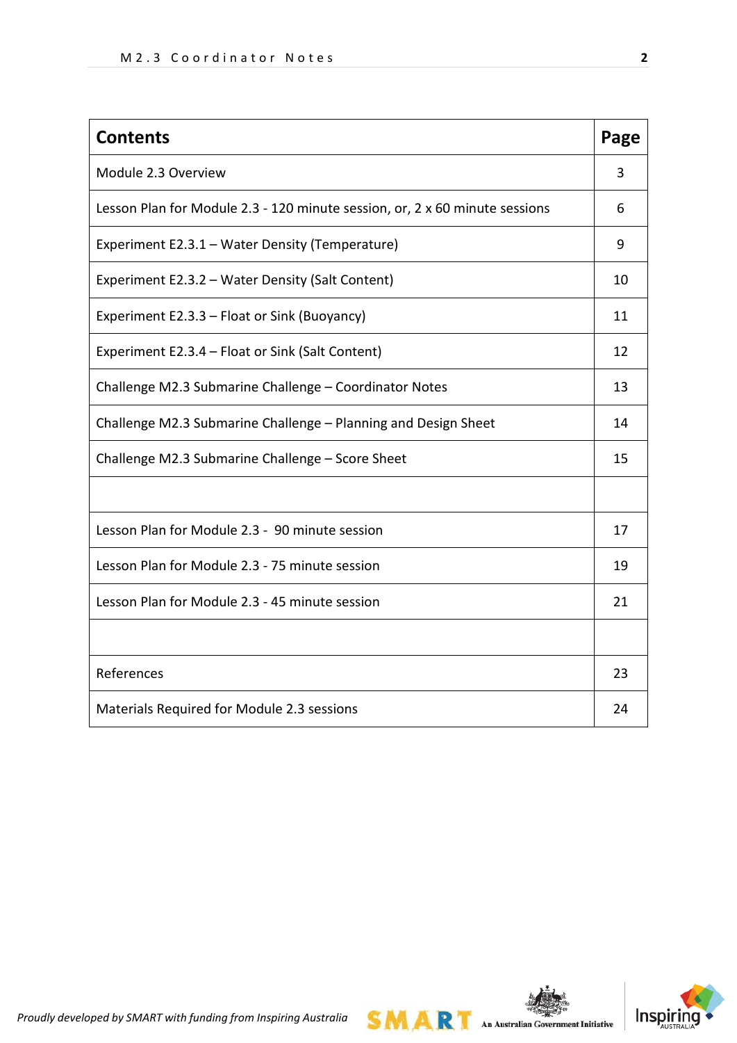| <b>Contents</b>                                                             | Page |
|-----------------------------------------------------------------------------|------|
| Module 2.3 Overview                                                         | 3    |
| Lesson Plan for Module 2.3 - 120 minute session, or, 2 x 60 minute sessions | 6    |
| Experiment E2.3.1 - Water Density (Temperature)                             | 9    |
| Experiment E2.3.2 - Water Density (Salt Content)                            | 10   |
| Experiment E2.3.3 - Float or Sink (Buoyancy)                                | 11   |
| Experiment E2.3.4 - Float or Sink (Salt Content)                            | 12   |
| Challenge M2.3 Submarine Challenge - Coordinator Notes                      | 13   |
| Challenge M2.3 Submarine Challenge - Planning and Design Sheet              | 14   |
| Challenge M2.3 Submarine Challenge - Score Sheet                            | 15   |
|                                                                             |      |
| Lesson Plan for Module 2.3 - 90 minute session                              | 17   |
| Lesson Plan for Module 2.3 - 75 minute session                              | 19   |
| Lesson Plan for Module 2.3 - 45 minute session                              | 21   |
|                                                                             |      |
| References                                                                  | 23   |
| Materials Required for Module 2.3 sessions                                  | 24   |



**SMART** An Australian Government Initiative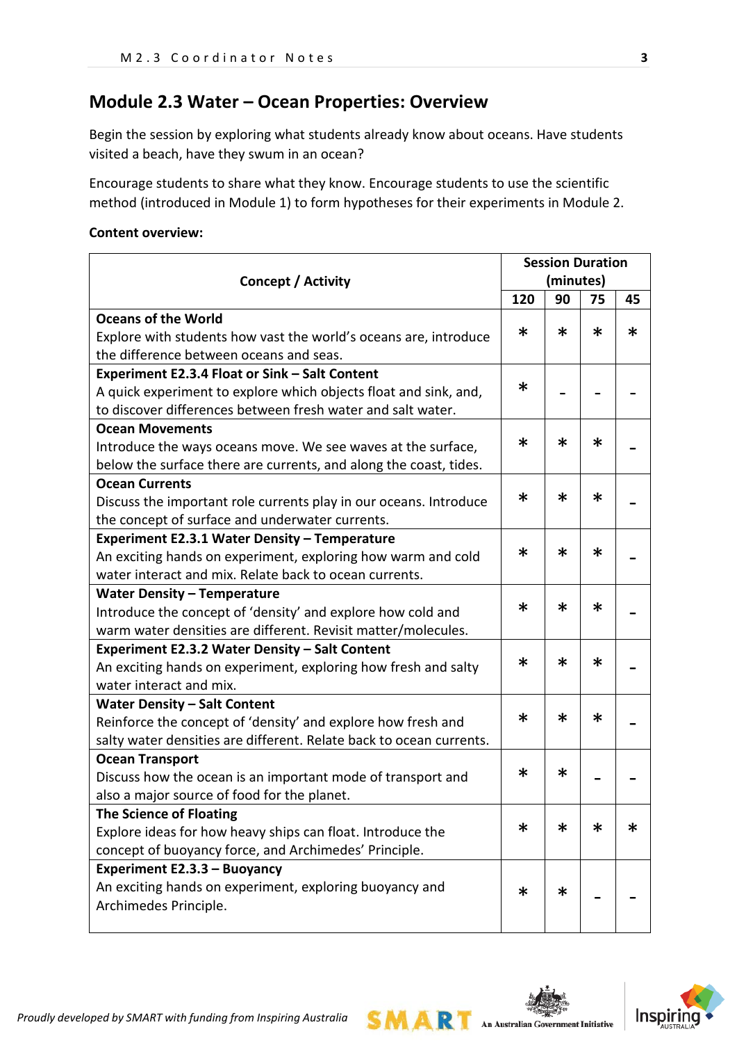# **Module 2.3 Water – Ocean Properties: Overview**

Begin the session by exploring what students already know about oceans. Have students visited a beach, have they swum in an ocean?

Encourage students to share what they know. Encourage students to use the scientific method (introduced in Module 1) to form hypotheses for their experiments in Module 2.

#### **Content overview:**

|                                                                     | <b>Session Duration</b> |           |        |        |
|---------------------------------------------------------------------|-------------------------|-----------|--------|--------|
| <b>Concept / Activity</b>                                           |                         | (minutes) |        |        |
|                                                                     | 120                     | 90        | 75     | 45     |
| <b>Oceans of the World</b>                                          |                         |           |        |        |
| Explore with students how vast the world's oceans are, introduce    | $\ast$                  | $\ast$    | $\ast$ | $\ast$ |
| the difference between oceans and seas.                             |                         |           |        |        |
| Experiment E2.3.4 Float or Sink - Salt Content                      |                         |           |        |        |
| A quick experiment to explore which objects float and sink, and,    | $\ast$                  |           |        |        |
| to discover differences between fresh water and salt water.         |                         |           |        |        |
| <b>Ocean Movements</b>                                              |                         |           |        |        |
| Introduce the ways oceans move. We see waves at the surface,        | ∗                       | ж         | ∗      |        |
| below the surface there are currents, and along the coast, tides.   |                         |           |        |        |
| <b>Ocean Currents</b>                                               |                         |           |        |        |
| Discuss the important role currents play in our oceans. Introduce   | $\ast$                  | $\ast$    | $\ast$ |        |
| the concept of surface and underwater currents.                     |                         |           |        |        |
| Experiment E2.3.1 Water Density - Temperature                       |                         |           |        |        |
| An exciting hands on experiment, exploring how warm and cold        | $\ast$                  | ∗         | ∗      |        |
| water interact and mix. Relate back to ocean currents.              |                         |           |        |        |
| <b>Water Density - Temperature</b>                                  |                         | ж         |        |        |
| Introduce the concept of 'density' and explore how cold and         | $\ast$                  |           | $\ast$ |        |
| warm water densities are different. Revisit matter/molecules.       |                         |           |        |        |
| Experiment E2.3.2 Water Density - Salt Content                      | $\ast$                  | ∗         | $\ast$ |        |
| An exciting hands on experiment, exploring how fresh and salty      |                         |           |        |        |
| water interact and mix.                                             |                         |           |        |        |
| <b>Water Density - Salt Content</b>                                 | $\ast$                  | ж         | $\ast$ |        |
| Reinforce the concept of 'density' and explore how fresh and        |                         |           |        |        |
| salty water densities are different. Relate back to ocean currents. |                         |           |        |        |
| <b>Ocean Transport</b>                                              | $\ast$                  | ∗         |        |        |
| Discuss how the ocean is an important mode of transport and         |                         |           |        |        |
| also a major source of food for the planet.                         |                         |           |        |        |
| <b>The Science of Floating</b>                                      | $\ast$                  | ж         | $\ast$ | $\ast$ |
| Explore ideas for how heavy ships can float. Introduce the          |                         |           |        |        |
| concept of buoyancy force, and Archimedes' Principle.               |                         |           |        |        |
| Experiment E2.3.3 - Buoyancy                                        |                         |           |        |        |
| An exciting hands on experiment, exploring buoyancy and             | $\ast$                  | ∗         |        |        |
| Archimedes Principle.                                               |                         |           |        |        |
|                                                                     |                         |           |        |        |

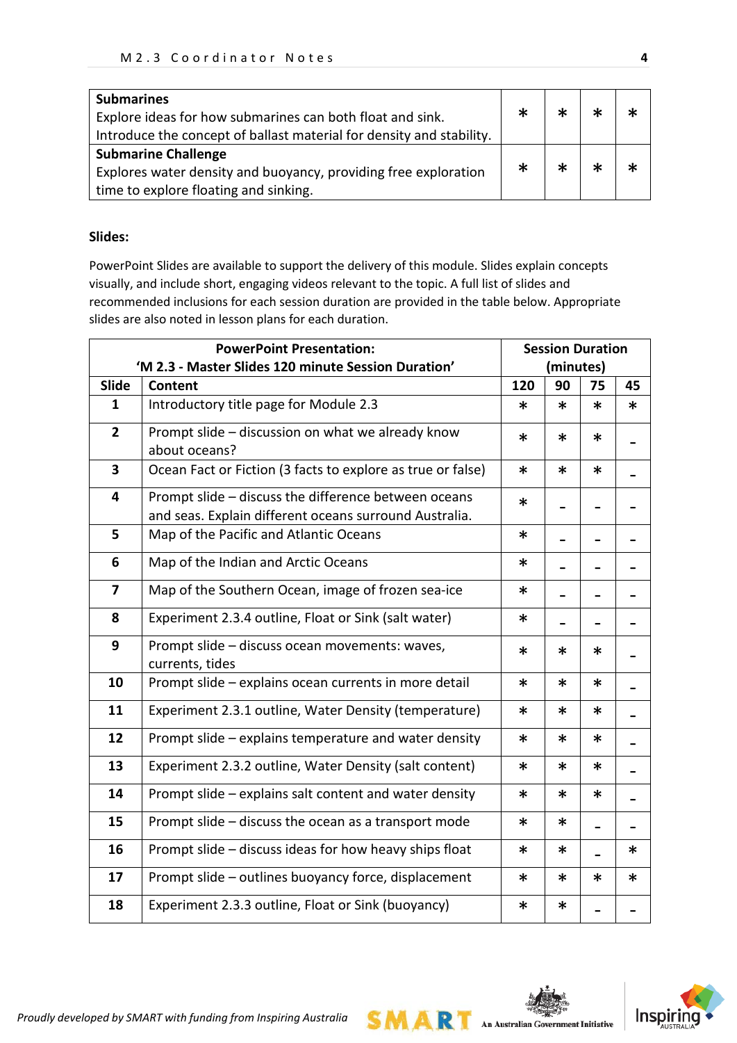| <b>Submarines</b>                                                    | $\ast$ |  |  |
|----------------------------------------------------------------------|--------|--|--|
| Explore ideas for how submarines can both float and sink.            |        |  |  |
| Introduce the concept of ballast material for density and stability. |        |  |  |
| <b>Submarine Challenge</b>                                           |        |  |  |
| Explores water density and buoyancy, providing free exploration      | $\ast$ |  |  |
| time to explore floating and sinking.                                |        |  |  |

#### **Slides:**

PowerPoint Slides are available to support the delivery of this module. Slides explain concepts visually, and include short, engaging videos relevant to the topic. A full list of slides and recommended inclusions for each session duration are provided in the table below. Appropriate slides are also noted in lesson plans for each duration.

|                         |                                                                                                                | <b>Session Duration</b> |           |        |        |
|-------------------------|----------------------------------------------------------------------------------------------------------------|-------------------------|-----------|--------|--------|
|                         | 'M 2.3 - Master Slides 120 minute Session Duration'                                                            |                         | (minutes) |        |        |
| Slide                   | Content                                                                                                        | 120                     | 90        | 75     | 45     |
| $\mathbf{1}$            | Introductory title page for Module 2.3                                                                         | *                       | *         | $\ast$ | ∗      |
| $\overline{2}$          | Prompt slide - discussion on what we already know<br>about oceans?                                             | *                       | *         | $\ast$ |        |
| $\overline{\mathbf{3}}$ | Ocean Fact or Fiction (3 facts to explore as true or false)                                                    | *                       | $\ast$    | $\ast$ |        |
| 4                       | Prompt slide - discuss the difference between oceans<br>and seas. Explain different oceans surround Australia. | *                       |           |        |        |
| 5                       | Map of the Pacific and Atlantic Oceans                                                                         | $\ast$                  |           |        |        |
| 6                       | Map of the Indian and Arctic Oceans<br>*                                                                       |                         |           |        |        |
| $\overline{\mathbf{z}}$ | Map of the Southern Ocean, image of frozen sea-ice<br>*                                                        |                         |           |        |        |
| 8                       | Experiment 2.3.4 outline, Float or Sink (salt water)                                                           | *                       |           |        |        |
| 9                       | Prompt slide - discuss ocean movements: waves,<br>currents, tides                                              | *                       | *         | ∗      |        |
| 10                      | Prompt slide - explains ocean currents in more detail                                                          | *                       | *         | $\ast$ |        |
| 11                      | Experiment 2.3.1 outline, Water Density (temperature)                                                          | *                       |           | $\ast$ |        |
| 12                      | Prompt slide - explains temperature and water density                                                          | *                       | $\ast$    | ∗      |        |
| 13                      | Experiment 2.3.2 outline, Water Density (salt content)                                                         | *                       | $\ast$    | $\ast$ |        |
| 14                      | Prompt slide - explains salt content and water density                                                         | *                       | $\ast$    | $\ast$ |        |
| 15                      | Prompt slide - discuss the ocean as a transport mode                                                           | *                       | *         |        |        |
| 16                      | Prompt slide - discuss ideas for how heavy ships float                                                         | *                       | *.        |        | ∗      |
| 17                      | Prompt slide - outlines buoyancy force, displacement                                                           | *                       | *         | $\ast$ | $\ast$ |
| 18                      | Experiment 2.3.3 outline, Float or Sink (buoyancy)                                                             | $\ast$                  | *         |        |        |

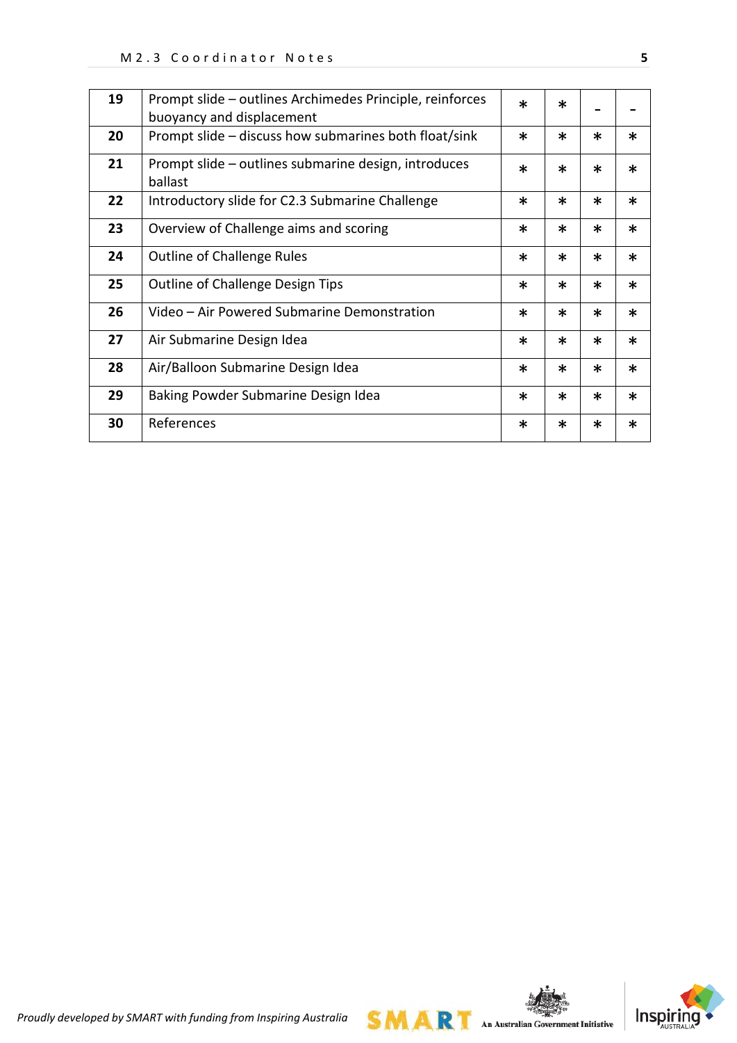| 19 | Prompt slide – outlines Archimedes Principle, reinforces<br>buoyancy and displacement | $\ast$ | $\ast$ |        |        |
|----|---------------------------------------------------------------------------------------|--------|--------|--------|--------|
| 20 | Prompt slide – discuss how submarines both float/sink                                 | $\ast$ | $\ast$ | $\ast$ | $\ast$ |
| 21 | Prompt slide – outlines submarine design, introduces<br>ballast                       | $\ast$ | $\ast$ | $\ast$ | $\ast$ |
| 22 | Introductory slide for C2.3 Submarine Challenge                                       | $\ast$ | $\ast$ | $\ast$ | $\ast$ |
| 23 | Overview of Challenge aims and scoring                                                | $\ast$ | $\ast$ | *      | $\ast$ |
| 24 | <b>Outline of Challenge Rules</b>                                                     | $\ast$ | $\ast$ | $\ast$ | $\ast$ |
| 25 | Outline of Challenge Design Tips                                                      | $\ast$ | $\ast$ | *      | $\ast$ |
| 26 | Video - Air Powered Submarine Demonstration                                           | $\ast$ | $\ast$ | $\ast$ | $\ast$ |
| 27 | Air Submarine Design Idea                                                             | $\ast$ | $\ast$ | $\ast$ | $\ast$ |
| 28 | Air/Balloon Submarine Design Idea                                                     | $\ast$ | $\ast$ | $\ast$ | $\ast$ |
| 29 | Baking Powder Submarine Design Idea                                                   | $\ast$ | $\ast$ | $\ast$ | $\ast$ |
| 30 | References                                                                            | $\ast$ | $\ast$ | *      | $\ast$ |

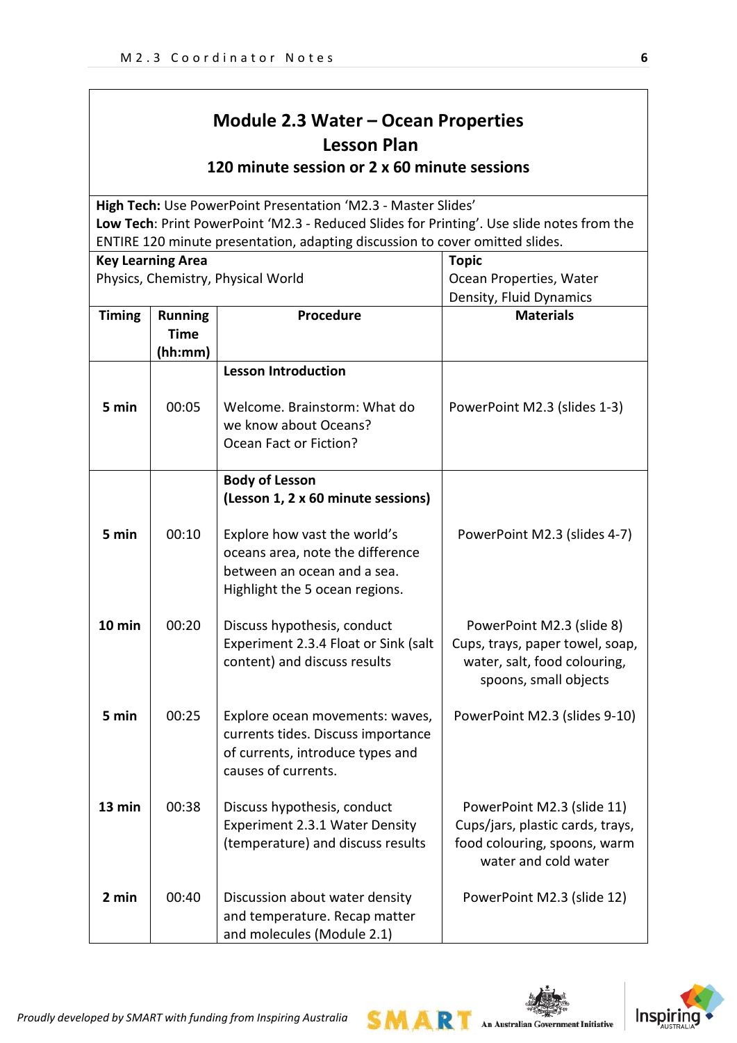# **Module 2.3 Water – Ocean Properties Lesson Plan**

**120 minute session or 2 x 60 minute sessions**

**High Tech:** Use PowerPoint Presentation 'M2.3 - Master Slides' **Low Tech**: Print PowerPoint 'M2.3 - Reduced Slides for Printing'. Use slide notes from the ENTIRE 120 minute presentation, adapting discussion to cover omitted slides.

| <b>Key Learning Area</b> |                                          |                                                                                                                                   | <b>Topic</b>                                                                                                           |
|--------------------------|------------------------------------------|-----------------------------------------------------------------------------------------------------------------------------------|------------------------------------------------------------------------------------------------------------------------|
|                          |                                          | Physics, Chemistry, Physical World                                                                                                | Ocean Properties, Water                                                                                                |
|                          |                                          |                                                                                                                                   | Density, Fluid Dynamics                                                                                                |
| <b>Timing</b>            | <b>Running</b><br><b>Time</b><br>(hh:mm) | Procedure                                                                                                                         | <b>Materials</b>                                                                                                       |
|                          |                                          | <b>Lesson Introduction</b>                                                                                                        |                                                                                                                        |
| 5 min                    | 00:05                                    | Welcome. Brainstorm: What do<br>we know about Oceans?<br>Ocean Fact or Fiction?                                                   | PowerPoint M2.3 (slides 1-3)                                                                                           |
|                          |                                          | <b>Body of Lesson</b><br>(Lesson 1, 2 x 60 minute sessions)                                                                       |                                                                                                                        |
| 5 min                    | 00:10                                    | Explore how vast the world's<br>oceans area, note the difference<br>between an ocean and a sea.<br>Highlight the 5 ocean regions. | PowerPoint M2.3 (slides 4-7)                                                                                           |
| 10 min                   | 00:20                                    | Discuss hypothesis, conduct<br>Experiment 2.3.4 Float or Sink (salt<br>content) and discuss results                               | PowerPoint M2.3 (slide 8)<br>Cups, trays, paper towel, soap,<br>water, salt, food colouring,<br>spoons, small objects  |
| 5 min                    | 00:25                                    | Explore ocean movements: waves,<br>currents tides. Discuss importance<br>of currents, introduce types and<br>causes of currents.  | PowerPoint M2.3 (slides 9-10)                                                                                          |
| 13 min                   | 00:38                                    | Discuss hypothesis, conduct<br>Experiment 2.3.1 Water Density<br>(temperature) and discuss results                                | PowerPoint M2.3 (slide 11)<br>Cups/jars, plastic cards, trays,<br>food colouring, spoons, warm<br>water and cold water |
| 2 min                    | 00:40                                    | Discussion about water density<br>and temperature. Recap matter<br>and molecules (Module 2.1)                                     | PowerPoint M2.3 (slide 12)                                                                                             |

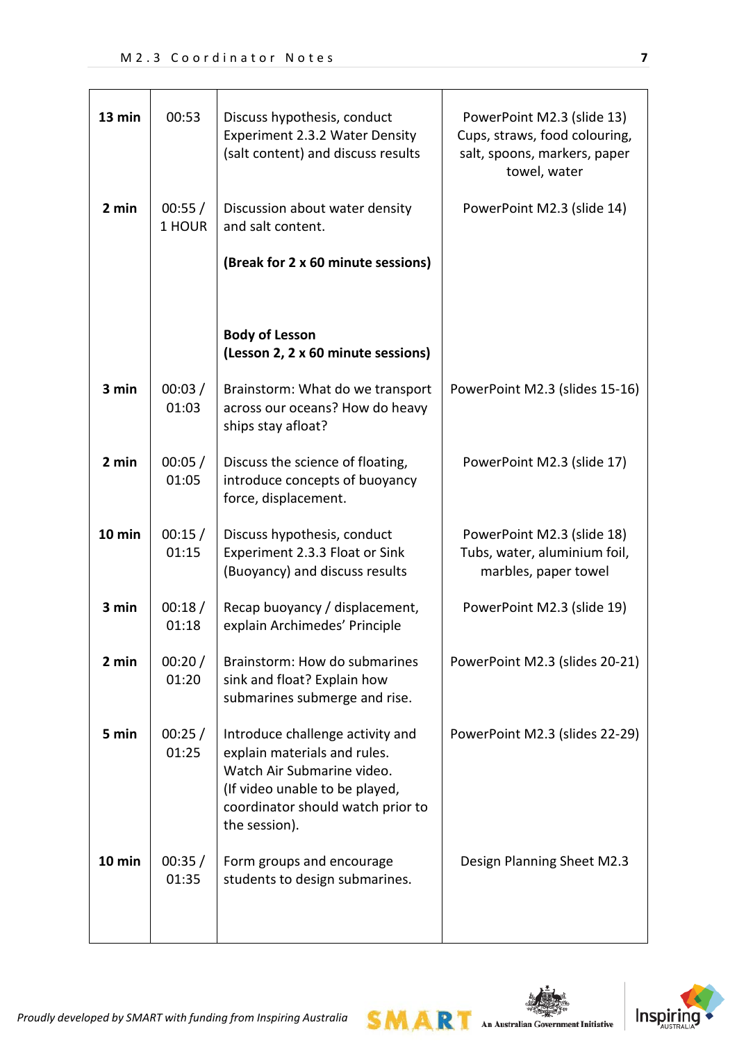| 13 min | 00:53            | Discuss hypothesis, conduct<br>Experiment 2.3.2 Water Density<br>(salt content) and discuss results                                                                                    | PowerPoint M2.3 (slide 13)<br>Cups, straws, food colouring,<br>salt, spoons, markers, paper<br>towel, water |
|--------|------------------|----------------------------------------------------------------------------------------------------------------------------------------------------------------------------------------|-------------------------------------------------------------------------------------------------------------|
| 2 min  | 00:55/<br>1 HOUR | Discussion about water density<br>and salt content.                                                                                                                                    | PowerPoint M2.3 (slide 14)                                                                                  |
|        |                  | (Break for 2 x 60 minute sessions)                                                                                                                                                     |                                                                                                             |
|        |                  |                                                                                                                                                                                        |                                                                                                             |
|        |                  | <b>Body of Lesson</b><br>(Lesson 2, 2 x 60 minute sessions)                                                                                                                            |                                                                                                             |
| 3 min  | 00:03/<br>01:03  | Brainstorm: What do we transport<br>across our oceans? How do heavy<br>ships stay afloat?                                                                                              | PowerPoint M2.3 (slides 15-16)                                                                              |
| 2 min  | 00:05/<br>01:05  | Discuss the science of floating,<br>introduce concepts of buoyancy<br>force, displacement.                                                                                             | PowerPoint M2.3 (slide 17)                                                                                  |
| 10 min | 00:15/<br>01:15  | Discuss hypothesis, conduct<br>Experiment 2.3.3 Float or Sink<br>(Buoyancy) and discuss results                                                                                        | PowerPoint M2.3 (slide 18)<br>Tubs, water, aluminium foil,<br>marbles, paper towel                          |
| 3 min  | 00:18/<br>01:18  | Recap buoyancy / displacement,<br>explain Archimedes' Principle                                                                                                                        | PowerPoint M2.3 (slide 19)                                                                                  |
| 2 min  | 00:20/<br>01:20  | Brainstorm: How do submarines<br>sink and float? Explain how<br>submarines submerge and rise.                                                                                          | PowerPoint M2.3 (slides 20-21)                                                                              |
| 5 min  | 00:25/<br>01:25  | Introduce challenge activity and<br>explain materials and rules.<br>Watch Air Submarine video.<br>(If video unable to be played,<br>coordinator should watch prior to<br>the session). | PowerPoint M2.3 (slides 22-29)                                                                              |
| 10 min | 00:35/<br>01:35  | Form groups and encourage<br>students to design submarines.                                                                                                                            | Design Planning Sheet M2.3                                                                                  |



 $SMAR$  An Australian Government Initiative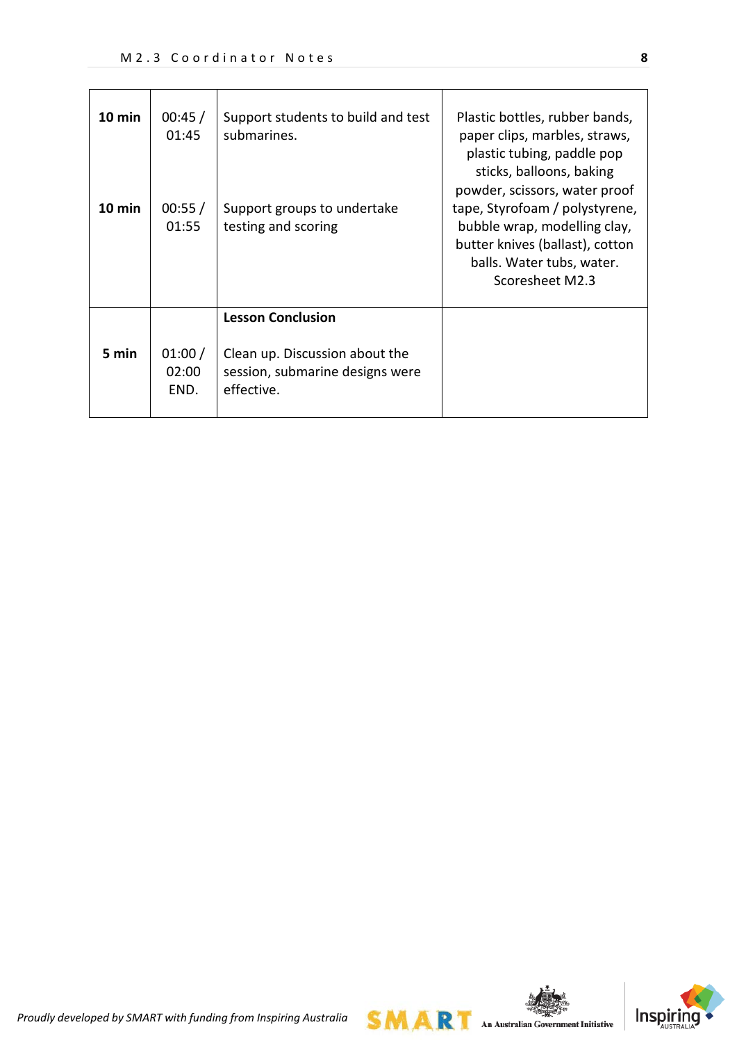| $10 \text{ min}$<br>10 min | 00:45/<br>01:45<br>00:55/<br>01:55 | Support students to build and test<br>submarines.<br>Support groups to undertake<br>testing and scoring     | Plastic bottles, rubber bands,<br>paper clips, marbles, straws,<br>plastic tubing, paddle pop<br>sticks, balloons, baking<br>powder, scissors, water proof<br>tape, Styrofoam / polystyrene,<br>bubble wrap, modelling clay,<br>butter knives (ballast), cotton<br>balls. Water tubs, water.<br>Scoresheet M2.3 |
|----------------------------|------------------------------------|-------------------------------------------------------------------------------------------------------------|-----------------------------------------------------------------------------------------------------------------------------------------------------------------------------------------------------------------------------------------------------------------------------------------------------------------|
| 5 min                      | 01:00/<br>02:00<br>END.            | <b>Lesson Conclusion</b><br>Clean up. Discussion about the<br>session, submarine designs were<br>effective. |                                                                                                                                                                                                                                                                                                                 |



*Proudly developed by SMART with funding from Inspiring Australia*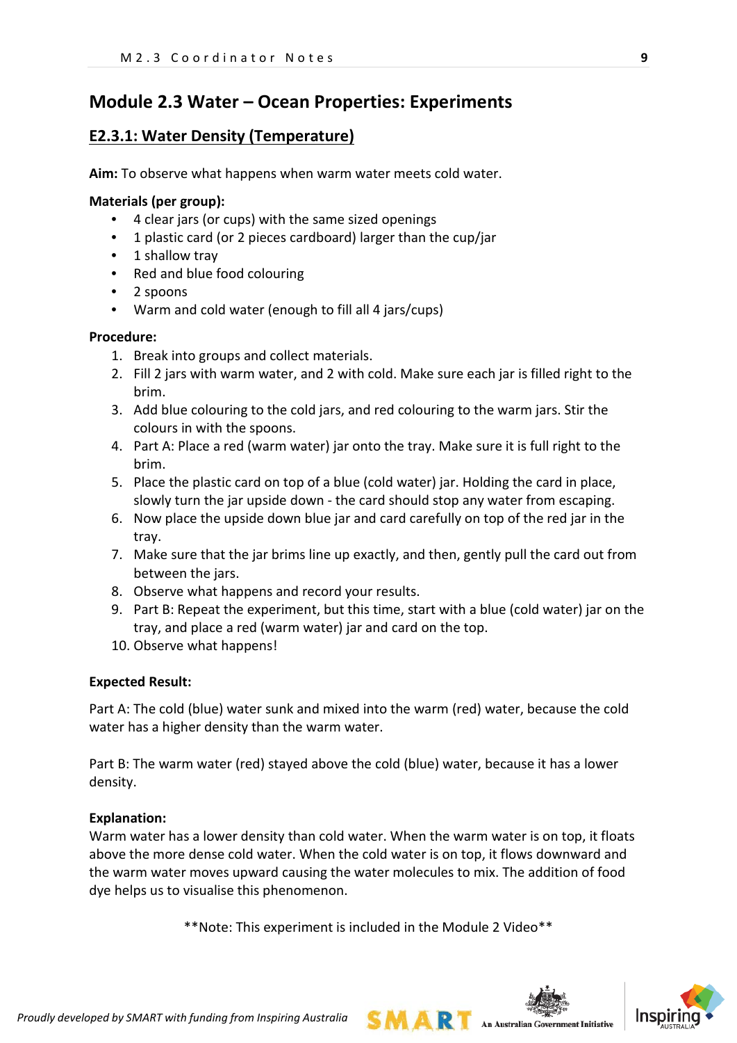# **Module 2.3 Water – Ocean Properties: Experiments**

## **E2.3.1: Water Density (Temperature)**

**Aim:** To observe what happens when warm water meets cold water.

#### **Materials (per group):**

- 4 clear jars (or cups) with the same sized openings
- 1 plastic card (or 2 pieces cardboard) larger than the cup/jar
- 1 shallow tray
- Red and blue food colouring
- 2 spoons
- Warm and cold water (enough to fill all 4 jars/cups)

#### **Procedure:**

- 1. Break into groups and collect materials.
- 2. Fill 2 jars with warm water, and 2 with cold. Make sure each jar is filled right to the brim.
- 3. Add blue colouring to the cold jars, and red colouring to the warm jars. Stir the colours in with the spoons.
- 4. Part A: Place a red (warm water) jar onto the tray. Make sure it is full right to the brim.
- 5. Place the plastic card on top of a blue (cold water) jar. Holding the card in place, slowly turn the jar upside down - the card should stop any water from escaping.
- 6. Now place the upside down blue jar and card carefully on top of the red jar in the tray.
- 7. Make sure that the jar brims line up exactly, and then, gently pull the card out from between the jars.
- 8. Observe what happens and record your results.
- 9. Part B: Repeat the experiment, but this time, start with a blue (cold water) jar on the tray, and place a red (warm water) jar and card on the top.
- 10. Observe what happens!

#### **Expected Result:**

Part A: The cold (blue) water sunk and mixed into the warm (red) water, because the cold water has a higher density than the warm water.

Part B: The warm water (red) stayed above the cold (blue) water, because it has a lower density.

#### **Explanation:**

Warm water has a lower density than cold water. When the warm water is on top, it floats above the more dense cold water. When the cold water is on top, it flows downward and the warm water moves upward causing the water molecules to mix. The addition of food dye helps us to visualise this phenomenon.

\*\*Note: This experiment is included in the Module 2 Video\*\*

**SMART** An Australian Government Initiative

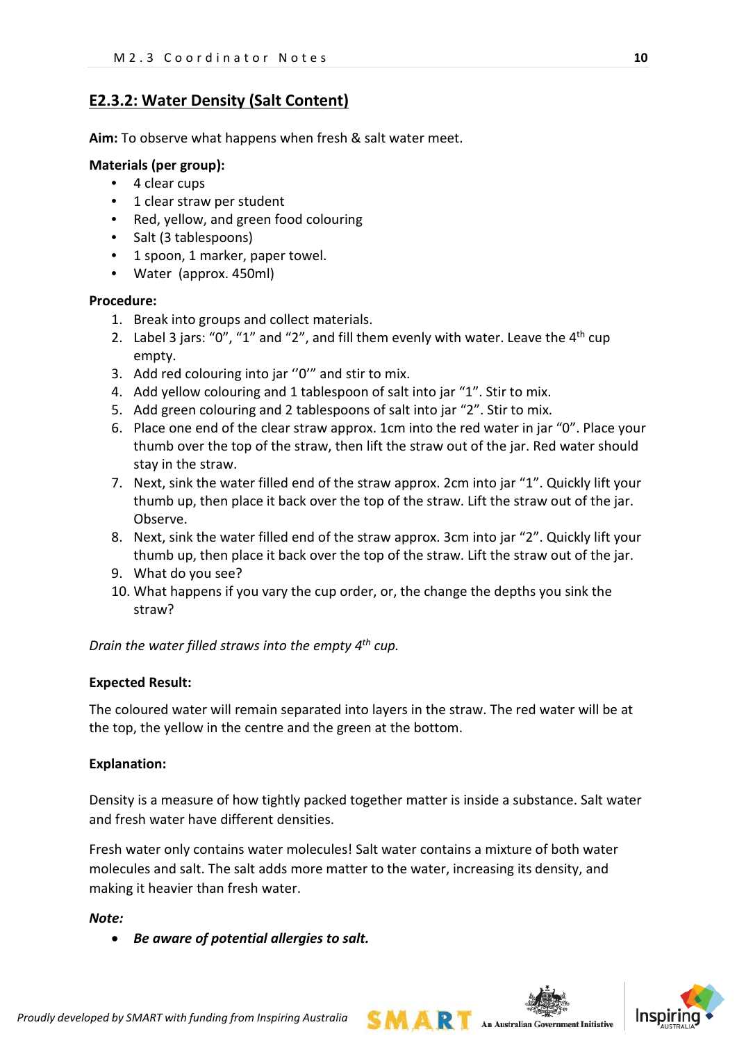## **E2.3.2: Water Density (Salt Content)**

**Aim:** To observe what happens when fresh & salt water meet.

#### **Materials (per group):**

- 4 clear cups
- 1 clear straw per student
- Red, yellow, and green food colouring
- Salt (3 tablespoons)
- 1 spoon, 1 marker, paper towel.
- Water (approx. 450ml)

#### **Procedure:**

- 1. Break into groups and collect materials.
- 2. Label 3 jars: "0", "1" and "2", and fill them evenly with water. Leave the  $4<sup>th</sup>$  cup empty.
- 3. Add red colouring into jar ''0'" and stir to mix.
- 4. Add yellow colouring and 1 tablespoon of salt into jar "1". Stir to mix.
- 5. Add green colouring and 2 tablespoons of salt into jar "2". Stir to mix.
- 6. Place one end of the clear straw approx. 1cm into the red water in jar "0". Place your thumb over the top of the straw, then lift the straw out of the jar. Red water should stay in the straw.
- 7. Next, sink the water filled end of the straw approx. 2cm into jar "1". Quickly lift your thumb up, then place it back over the top of the straw. Lift the straw out of the jar. Observe.
- 8. Next, sink the water filled end of the straw approx. 3cm into jar "2". Quickly lift your thumb up, then place it back over the top of the straw. Lift the straw out of the jar.
- 9. What do you see?
- 10. What happens if you vary the cup order, or, the change the depths you sink the straw?

*Drain the water filled straws into the empty 4th cup.*

#### **Expected Result:**

The coloured water will remain separated into layers in the straw. The red water will be at the top, the yellow in the centre and the green at the bottom.

#### **Explanation:**

Density is a measure of how tightly packed together matter is inside a substance. Salt water and fresh water have different densities.

Fresh water only contains water molecules! Salt water contains a mixture of both water molecules and salt. The salt adds more matter to the water, increasing its density, and making it heavier than fresh water.

*Note:*

• *Be aware of potential allergies to salt.*



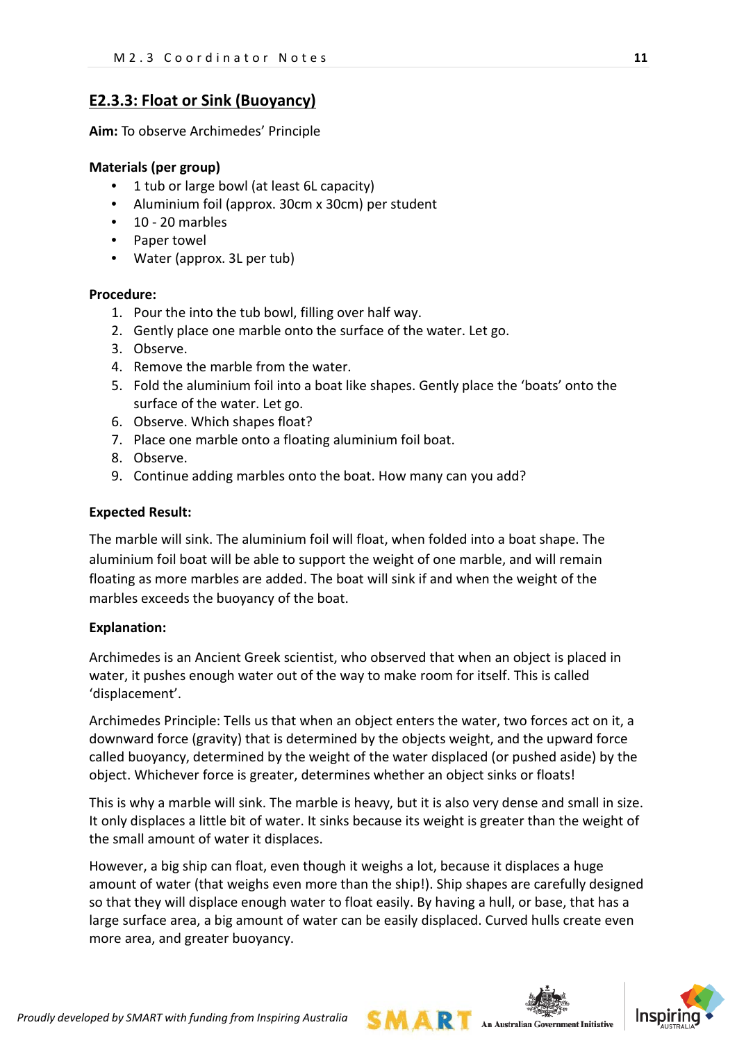### **E2.3.3: Float or Sink (Buoyancy)**

**Aim:** To observe Archimedes' Principle

#### **Materials (per group)**

- 1 tub or large bowl (at least 6L capacity)
- Aluminium foil (approx. 30cm x 30cm) per student
- 10 20 marbles
- Paper towel
- Water (approx. 3L per tub)

#### **Procedure:**

- 1. Pour the into the tub bowl, filling over half way.
- 2. Gently place one marble onto the surface of the water. Let go.
- 3. Observe.
- 4. Remove the marble from the water.
- 5. Fold the aluminium foil into a boat like shapes. Gently place the 'boats' onto the surface of the water. Let go.
- 6. Observe. Which shapes float?
- 7. Place one marble onto a floating aluminium foil boat.
- 8. Observe.
- 9. Continue adding marbles onto the boat. How many can you add?

#### **Expected Result:**

The marble will sink. The aluminium foil will float, when folded into a boat shape. The aluminium foil boat will be able to support the weight of one marble, and will remain floating as more marbles are added. The boat will sink if and when the weight of the marbles exceeds the buoyancy of the boat.

#### **Explanation:**

Archimedes is an Ancient Greek scientist, who observed that when an object is placed in water, it pushes enough water out of the way to make room for itself. This is called 'displacement'.

Archimedes Principle: Tells us that when an object enters the water, two forces act on it, a downward force (gravity) that is determined by the objects weight, and the upward force called buoyancy, determined by the weight of the water displaced (or pushed aside) by the object. Whichever force is greater, determines whether an object sinks or floats!

This is why a marble will sink. The marble is heavy, but it is also very dense and small in size. It only displaces a little bit of water. It sinks because its weight is greater than the weight of the small amount of water it displaces.

However, a big ship can float, even though it weighs a lot, because it displaces a huge amount of water (that weighs even more than the ship!). Ship shapes are carefully designed so that they will displace enough water to float easily. By having a hull, or base, that has a large surface area, a big amount of water can be easily displaced. Curved hulls create even more area, and greater buoyancy.

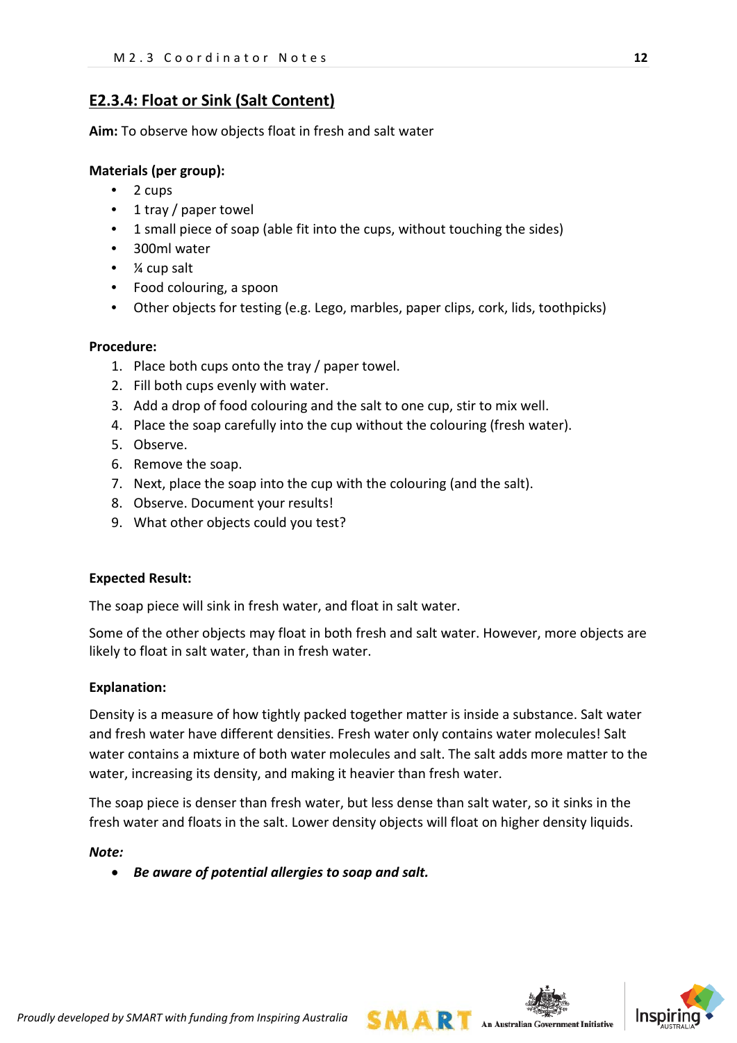## **E2.3.4: Float or Sink (Salt Content)**

**Aim:** To observe how objects float in fresh and salt water

#### **Materials (per group):**

- 2 cups
- 1 tray / paper towel
- 1 small piece of soap (able fit into the cups, without touching the sides)
- 300ml water
- ¼ cup salt
- Food colouring, a spoon
- Other objects for testing (e.g. Lego, marbles, paper clips, cork, lids, toothpicks)

#### **Procedure:**

- 1. Place both cups onto the tray / paper towel.
- 2. Fill both cups evenly with water.
- 3. Add a drop of food colouring and the salt to one cup, stir to mix well.
- 4. Place the soap carefully into the cup without the colouring (fresh water).
- 5. Observe.
- 6. Remove the soap.
- 7. Next, place the soap into the cup with the colouring (and the salt).
- 8. Observe. Document your results!
- 9. What other objects could you test?

#### **Expected Result:**

The soap piece will sink in fresh water, and float in salt water.

Some of the other objects may float in both fresh and salt water. However, more objects are likely to float in salt water, than in fresh water.

#### **Explanation:**

Density is a measure of how tightly packed together matter is inside a substance. Salt water and fresh water have different densities. Fresh water only contains water molecules! Salt water contains a mixture of both water molecules and salt. The salt adds more matter to the water, increasing its density, and making it heavier than fresh water.

The soap piece is denser than fresh water, but less dense than salt water, so it sinks in the fresh water and floats in the salt. Lower density objects will float on higher density liquids.

#### *Note:*

• *Be aware of potential allergies to soap and salt.*



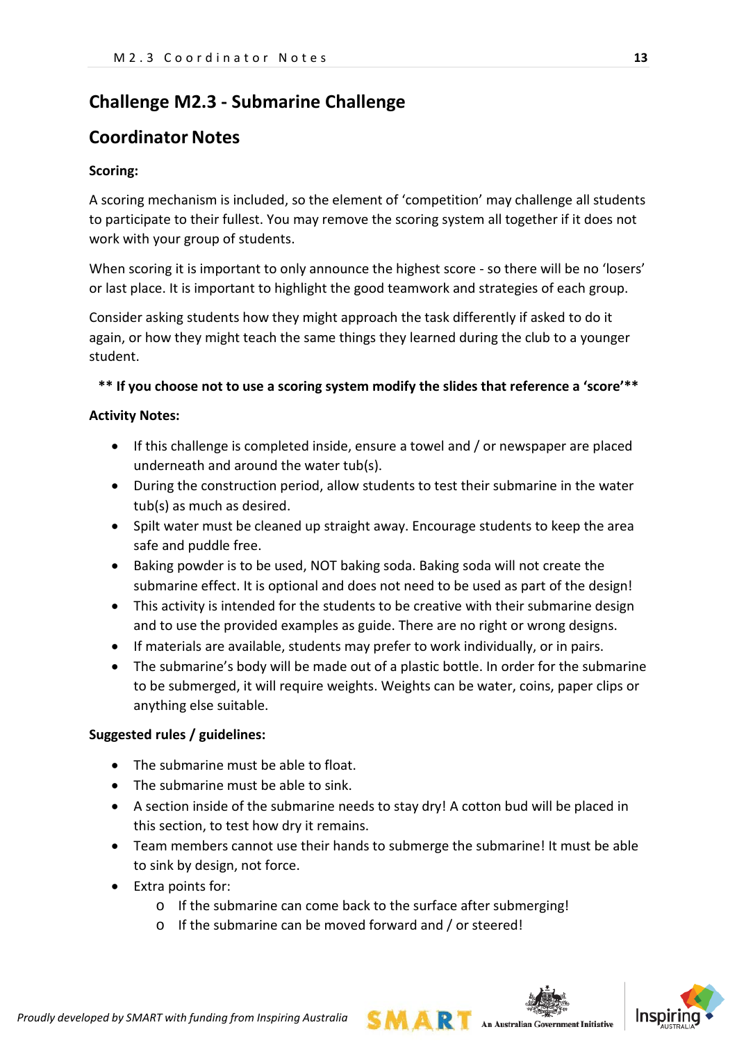# **Challenge M2.3 - Submarine Challenge**

# **Coordinator Notes**

### **Scoring:**

A scoring mechanism is included, so the element of 'competition' may challenge all students to participate to their fullest. You may remove the scoring system all together if it does not work with your group of students.

When scoring it is important to only announce the highest score - so there will be no 'losers' or last place. It is important to highlight the good teamwork and strategies of each group.

Consider asking students how they might approach the task differently if asked to do it again, or how they might teach the same things they learned during the club to a younger student.

#### **\*\* If you choose not to use a scoring system modify the slides that reference a 'score'\*\***

#### **Activity Notes:**

- If this challenge is completed inside, ensure a towel and / or newspaper are placed underneath and around the water tub(s).
- During the construction period, allow students to test their submarine in the water tub(s) as much as desired.
- Spilt water must be cleaned up straight away. Encourage students to keep the area safe and puddle free.
- Baking powder is to be used, NOT baking soda. Baking soda will not create the submarine effect. It is optional and does not need to be used as part of the design!
- This activity is intended for the students to be creative with their submarine design and to use the provided examples as guide. There are no right or wrong designs.
- If materials are available, students may prefer to work individually, or in pairs.
- The submarine's body will be made out of a plastic bottle. In order for the submarine to be submerged, it will require weights. Weights can be water, coins, paper clips or anything else suitable.

### **Suggested rules / guidelines:**

- The submarine must be able to float.
- The submarine must be able to sink.
- A section inside of the submarine needs to stay dry! A cotton bud will be placed in this section, to test how dry it remains.
- Team members cannot use their hands to submerge the submarine! It must be able to sink by design, not force.
- Extra points for:
	- o If the submarine can come back to the surface after submerging!
	- o If the submarine can be moved forward and / or steered!

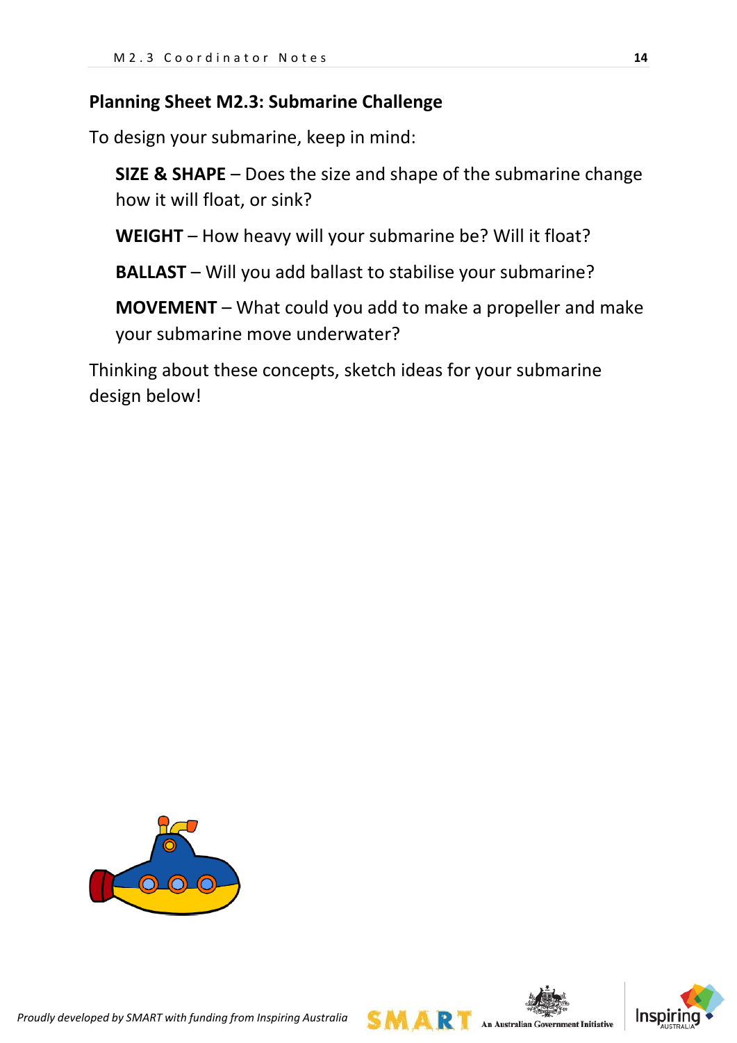# **Planning Sheet M2.3: Submarine Challenge**

To design your submarine, keep in mind:

**SIZE & SHAPE** – Does the size and shape of the submarine change how it will float, or sink?

**WEIGHT** – How heavy will your submarine be? Will it float?

**BALLAST** – Will you add ballast to stabilise your submarine?

**MOVEMENT** – What could you add to make a propeller and make your submarine move underwater?

Thinking about these concepts, sketch ideas for your submarine design below!





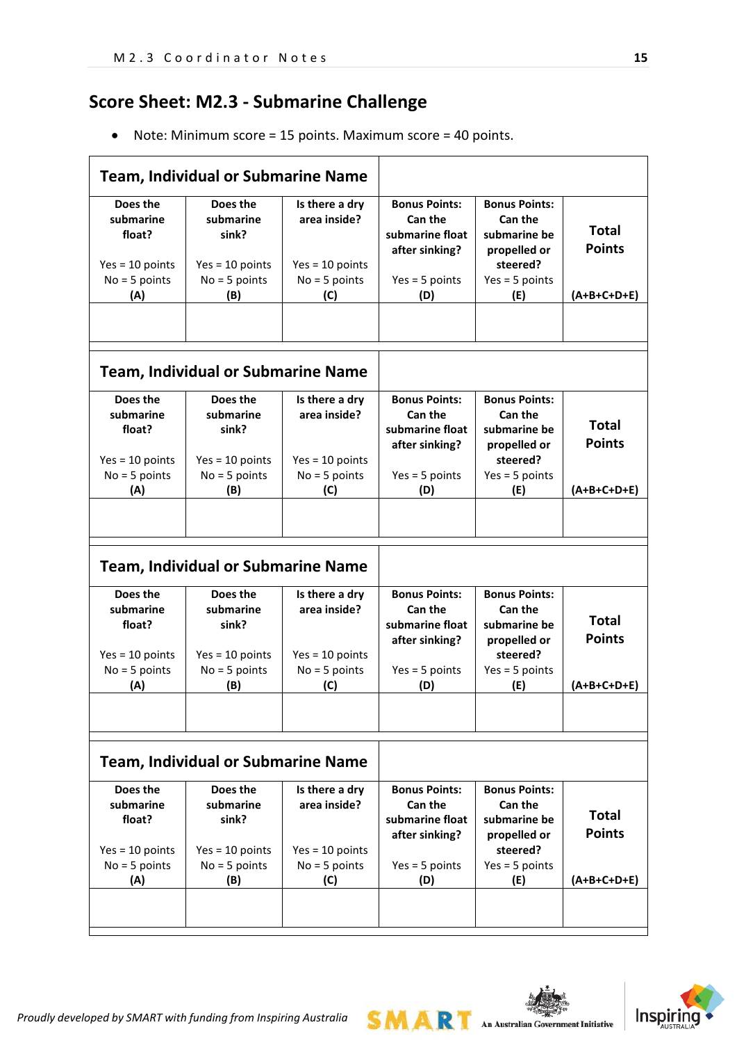# **Score Sheet: M2.3 - Submarine Challenge**

• Note: Minimum score = 15 points. Maximum score = 40 points.

|                                                                                | <b>Team, Individual or Submarine Name</b>                                     |                                                                               |                                                                                                 |                                                                                                               |                                                |
|--------------------------------------------------------------------------------|-------------------------------------------------------------------------------|-------------------------------------------------------------------------------|-------------------------------------------------------------------------------------------------|---------------------------------------------------------------------------------------------------------------|------------------------------------------------|
| Does the<br>submarine<br>float?<br>$Yes = 10 points$<br>$No = 5 points$<br>(A) | Does the<br>submarine<br>sink?<br>$Yes = 10 points$<br>$No = 5 points$<br>(B) | Is there a dry<br>area inside?<br>$Yes = 10 points$<br>$No = 5 points$<br>(C) | <b>Bonus Points:</b><br>Can the<br>submarine float<br>after sinking?<br>$Yes = 5 points$<br>(D) | <b>Bonus Points:</b><br><b>Can the</b><br>submarine be<br>propelled or<br>steered?<br>$Yes = 5 points$<br>(E) | <b>Total</b><br><b>Points</b><br>$(A+B+C+D+E)$ |
|                                                                                |                                                                               |                                                                               |                                                                                                 |                                                                                                               |                                                |
|                                                                                | <b>Team, Individual or Submarine Name</b>                                     |                                                                               |                                                                                                 |                                                                                                               |                                                |
| Does the<br>submarine<br>float?<br>$Yes = 10 points$                           | Does the<br>submarine<br>sink?<br>$Yes = 10 points$                           | Is there a dry<br>area inside?<br>$Yes = 10 points$                           | <b>Bonus Points:</b><br><b>Can the</b><br>submarine float<br>after sinking?                     | <b>Bonus Points:</b><br>Can the<br>submarine be<br>propelled or<br>steered?                                   | <b>Total</b><br><b>Points</b>                  |
| $No = 5 points$<br>(A)                                                         | $No = 5 points$<br>(B)                                                        | $No = 5 points$<br>(C)                                                        | $Yes = 5 points$<br>(D)                                                                         | $Yes = 5 points$<br>(E)                                                                                       | $(A+B+C+D+E)$                                  |
|                                                                                | <b>Team, Individual or Submarine Name</b>                                     |                                                                               |                                                                                                 |                                                                                                               |                                                |
| Does the<br>submarine<br>float?<br>$Yes = 10 points$<br>$No = 5 points$        | Does the<br>submarine<br>sink?<br>$Yes = 10 points$<br>$No = 5 points$        | Is there a dry<br>area inside?<br>$Yes = 10 points$<br>$No = 5 points$        | <b>Bonus Points:</b><br>Can the<br>submarine float<br>after sinking?<br>$Yes = 5 points$        | <b>Bonus Points:</b><br>Can the<br>submarine be<br>propelled or<br>steered?<br>$Yes = 5 points$               | <b>Total</b><br><b>Points</b>                  |
| (A)                                                                            | (B)                                                                           | (C)                                                                           | (D)                                                                                             | (E)                                                                                                           | $(A+B+C+D+E)$                                  |
|                                                                                |                                                                               |                                                                               |                                                                                                 |                                                                                                               |                                                |
|                                                                                | <b>Team, Individual or Submarine Name</b>                                     |                                                                               |                                                                                                 |                                                                                                               |                                                |
| Does the<br>submarine<br>float?<br>$Yes = 10 points$<br>$No = 5 points$        | Does the<br>submarine<br>sink?<br>$Yes = 10 points$<br>$No = 5 points$        | Is there a dry<br>area inside?<br>$Yes = 10 points$<br>$No = 5 points$        | <b>Bonus Points:</b><br>Can the<br>submarine float<br>after sinking?<br>$Yes = 5 points$        | <b>Bonus Points:</b><br>Can the<br>submarine be<br>propelled or<br>steered?<br>$Yes = 5 points$               | <b>Total</b><br><b>Points</b>                  |

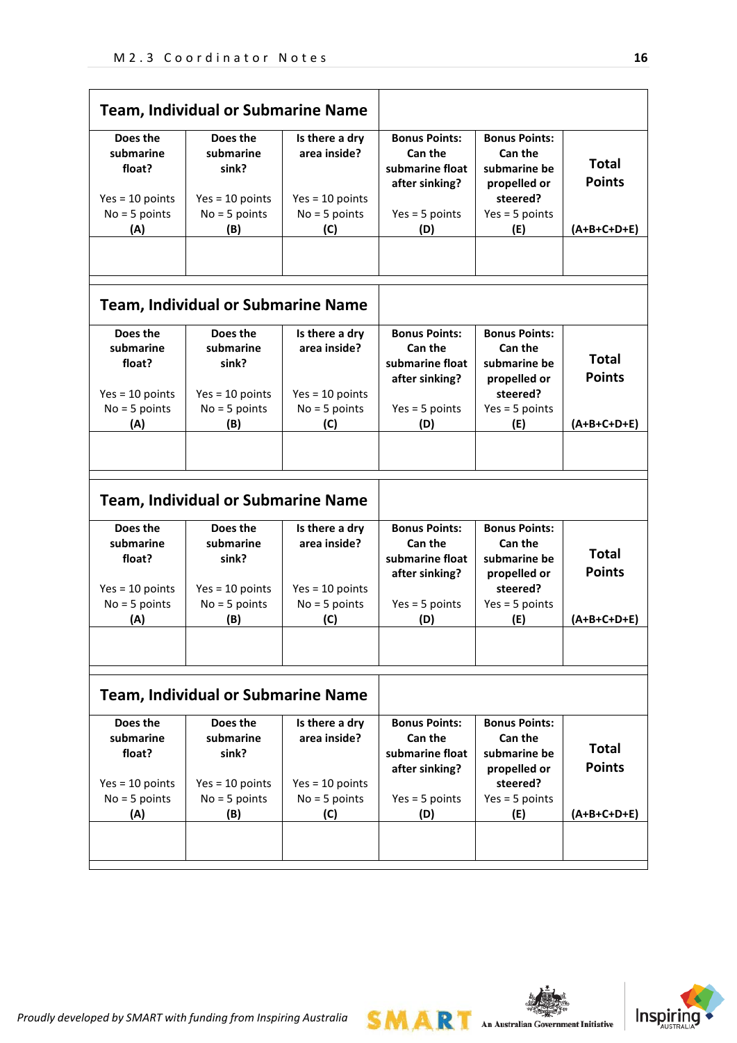| <b>Team, Individual or Submarine Name</b>            |                                                       |                                                     |                                                                      |                                                                             |                               |
|------------------------------------------------------|-------------------------------------------------------|-----------------------------------------------------|----------------------------------------------------------------------|-----------------------------------------------------------------------------|-------------------------------|
| Does the<br>submarine<br>float?                      | Does the<br>submarine<br>sink?                        | Is there a dry<br>area inside?                      | <b>Bonus Points:</b><br>Can the<br>submarine float<br>after sinking? | <b>Bonus Points:</b><br>Can the<br>submarine be<br>propelled or             | <b>Total</b><br><b>Points</b> |
| $Yes = 10 points$                                    | $Yes = 10 points$                                     | $Yes = 10 points$                                   |                                                                      | steered?                                                                    |                               |
| $No = 5 points$                                      | $No = 5 points$                                       | $No = 5 points$                                     | $Yes = 5 points$                                                     | $Yes = 5 points$                                                            |                               |
| (A)                                                  | (B)                                                   | (C)                                                 | (D)                                                                  | (E)                                                                         | $(A+B+C+D+E)$                 |
|                                                      | <b>Team, Individual or Submarine Name</b>             |                                                     |                                                                      |                                                                             |                               |
| Does the<br>submarine<br>float?<br>$Yes = 10 points$ | Does the<br>submarine<br>sink?<br>$Yes = 10 points$   | Is there a dry<br>area inside?<br>$Yes = 10 points$ | <b>Bonus Points:</b><br>Can the<br>submarine float<br>after sinking? | <b>Bonus Points:</b><br>Can the<br>submarine be<br>propelled or<br>steered? | <b>Total</b><br><b>Points</b> |
| $No = 5 points$                                      | $No = 5 points$                                       | $No = 5 points$                                     | $Yes = 5 points$                                                     | $Yes = 5 points$                                                            |                               |
| (A)                                                  | (B)                                                   | (C)                                                 | (D)                                                                  | (E)                                                                         | (A+B+C+D+E)                   |
| Does the                                             | <b>Team, Individual or Submarine Name</b><br>Does the |                                                     |                                                                      | <b>Bonus Points:</b>                                                        |                               |
| submarine<br>float?                                  | submarine<br>sink?                                    | Is there a dry<br>area inside?                      | <b>Bonus Points:</b><br>Can the<br>submarine float<br>after sinking? | Can the<br>submarine be<br>propelled or                                     | <b>Total</b><br><b>Points</b> |
| $Yes = 10 points$                                    | $Yes = 10 points$                                     | $Yes = 10 points$                                   |                                                                      | steered?                                                                    |                               |
| $No = 5 points$<br>(A)                               | $No = 5 points$<br>(B)                                | $No = 5 points$<br>(C)                              | $Yes = 5 points$<br>(D)                                              | $Yes = 5 points$<br>(E)                                                     | $(A+B+C+D+E)$                 |
|                                                      |                                                       |                                                     |                                                                      |                                                                             |                               |
|                                                      | <b>Team, Individual or Submarine Name</b>             |                                                     |                                                                      |                                                                             |                               |
| Does the<br>submarine<br>float?<br>$Yes = 10 points$ | Does the<br>submarine<br>sink?<br>$Yes = 10 points$   | Is there a dry<br>area inside?<br>$Yes = 10 points$ | <b>Bonus Points:</b><br>Can the<br>submarine float<br>after sinking? | <b>Bonus Points:</b><br>Can the<br>submarine be<br>propelled or<br>steered? | <b>Total</b><br><b>Points</b> |
| $No = 5 points$                                      | $No = 5 points$                                       | $No = 5 points$                                     | $Yes = 5 points$                                                     | $Yes = 5 points$                                                            |                               |
| (A)                                                  | (B)                                                   | (C)                                                 | (D)                                                                  | (E)                                                                         | $(A+B+C+D+E)$                 |
|                                                      |                                                       |                                                     |                                                                      |                                                                             |                               |

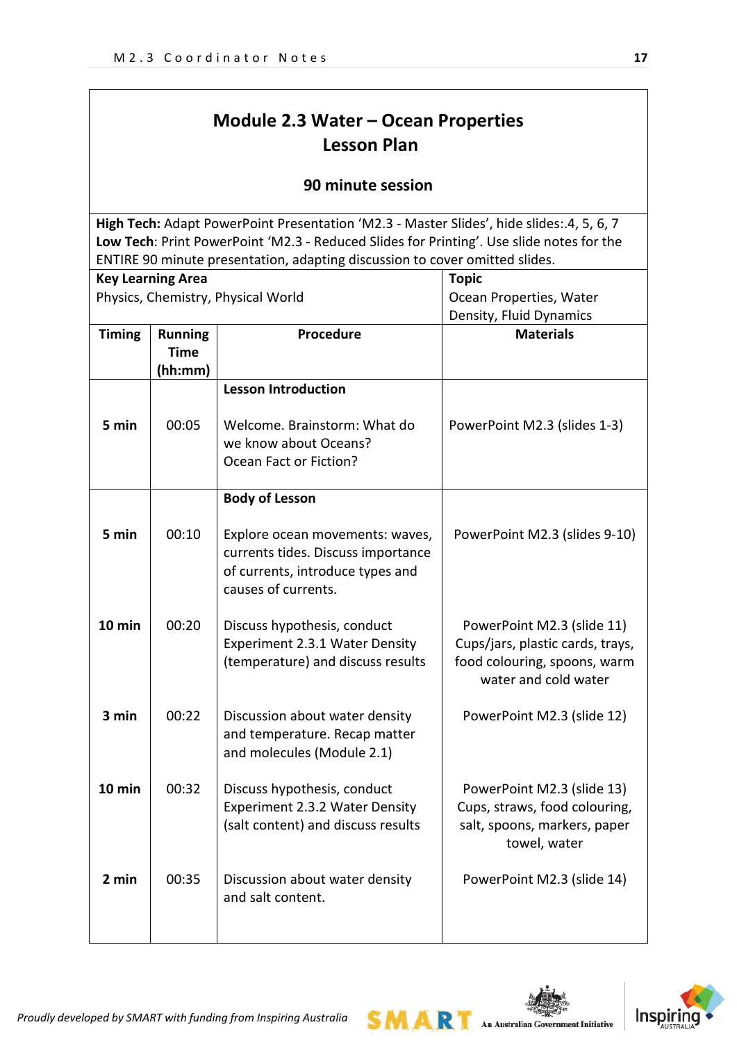# **Module 2.3 Water – Ocean Properties Lesson Plan**

### **90 minute session**

**High Tech:** Adapt PowerPoint Presentation 'M2.3 - Master Slides', hide slides:.4, 5, 6, 7 **Low Tech**: Print PowerPoint 'M2.3 - Reduced Slides for Printing'. Use slide notes for the ENTIRE 90 minute presentation, adapting discussion to cover omitted slides.

|               | <b>Key Learning Area</b>                 |                                                                                                                                  | <b>Topic</b>                                                                                                           |
|---------------|------------------------------------------|----------------------------------------------------------------------------------------------------------------------------------|------------------------------------------------------------------------------------------------------------------------|
|               |                                          | Physics, Chemistry, Physical World                                                                                               | Ocean Properties, Water                                                                                                |
|               |                                          |                                                                                                                                  | Density, Fluid Dynamics                                                                                                |
| <b>Timing</b> | <b>Running</b><br><b>Time</b><br>(hh:mm) | Procedure                                                                                                                        | <b>Materials</b>                                                                                                       |
|               |                                          | <b>Lesson Introduction</b>                                                                                                       |                                                                                                                        |
| 5 min         | 00:05                                    | Welcome. Brainstorm: What do<br>we know about Oceans?<br>Ocean Fact or Fiction?                                                  | PowerPoint M2.3 (slides 1-3)                                                                                           |
|               |                                          | <b>Body of Lesson</b>                                                                                                            |                                                                                                                        |
| 5 min         | 00:10                                    | Explore ocean movements: waves,<br>currents tides. Discuss importance<br>of currents, introduce types and<br>causes of currents. | PowerPoint M2.3 (slides 9-10)                                                                                          |
| 10 min        | 00:20                                    | Discuss hypothesis, conduct<br>Experiment 2.3.1 Water Density<br>(temperature) and discuss results                               | PowerPoint M2.3 (slide 11)<br>Cups/jars, plastic cards, trays,<br>food colouring, spoons, warm<br>water and cold water |
| 3 min         | 00:22                                    | Discussion about water density<br>and temperature. Recap matter<br>and molecules (Module 2.1)                                    | PowerPoint M2.3 (slide 12)                                                                                             |
| 10 min        | 00:32                                    | Discuss hypothesis, conduct<br>Experiment 2.3.2 Water Density<br>(salt content) and discuss results                              | PowerPoint M2.3 (slide 13)<br>Cups, straws, food colouring,<br>salt, spoons, markers, paper<br>towel, water            |
| 2 min         | 00:35                                    | Discussion about water density<br>and salt content.                                                                              | PowerPoint M2.3 (slide 14)                                                                                             |

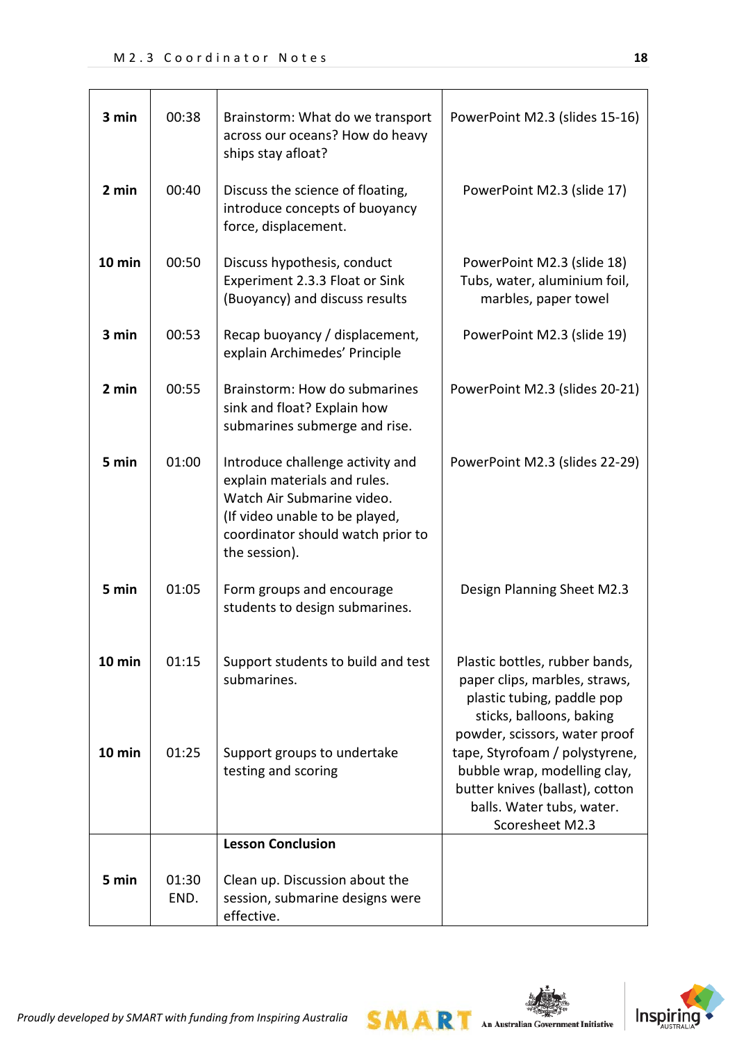| 3 min    | 00:38         | Brainstorm: What do we transport<br>across our oceans? How do heavy<br>ships stay afloat?                                                                                              | PowerPoint M2.3 (slides 15-16)                                                                                                                             |
|----------|---------------|----------------------------------------------------------------------------------------------------------------------------------------------------------------------------------------|------------------------------------------------------------------------------------------------------------------------------------------------------------|
| 2 min    | 00:40         | Discuss the science of floating,<br>introduce concepts of buoyancy<br>force, displacement.                                                                                             | PowerPoint M2.3 (slide 17)                                                                                                                                 |
| 10 min   | 00:50         | Discuss hypothesis, conduct<br>Experiment 2.3.3 Float or Sink<br>(Buoyancy) and discuss results                                                                                        | PowerPoint M2.3 (slide 18)<br>Tubs, water, aluminium foil,<br>marbles, paper towel                                                                         |
| 3 min    | 00:53         | Recap buoyancy / displacement,<br>explain Archimedes' Principle                                                                                                                        | PowerPoint M2.3 (slide 19)                                                                                                                                 |
| 2 min    | 00:55         | Brainstorm: How do submarines<br>sink and float? Explain how<br>submarines submerge and rise.                                                                                          | PowerPoint M2.3 (slides 20-21)                                                                                                                             |
| 5 min    | 01:00         | Introduce challenge activity and<br>explain materials and rules.<br>Watch Air Submarine video.<br>(If video unable to be played,<br>coordinator should watch prior to<br>the session). | PowerPoint M2.3 (slides 22-29)                                                                                                                             |
| 5 min    | 01:05         | Form groups and encourage<br>students to design submarines.                                                                                                                            | Design Planning Sheet M2.3                                                                                                                                 |
| $10$ min | 01:15         | Support students to build and test<br>submarines.                                                                                                                                      | Plastic bottles, rubber bands,<br>paper clips, marbles, straws,<br>plastic tubing, paddle pop<br>sticks, balloons, baking<br>powder, scissors, water proof |
| $10$ min | 01:25         | Support groups to undertake<br>testing and scoring                                                                                                                                     | tape, Styrofoam / polystyrene,<br>bubble wrap, modelling clay,<br>butter knives (ballast), cotton<br>balls. Water tubs, water.<br>Scoresheet M2.3          |
|          |               | <b>Lesson Conclusion</b>                                                                                                                                                               |                                                                                                                                                            |
| 5 min    | 01:30<br>END. | Clean up. Discussion about the<br>session, submarine designs were<br>effective.                                                                                                        |                                                                                                                                                            |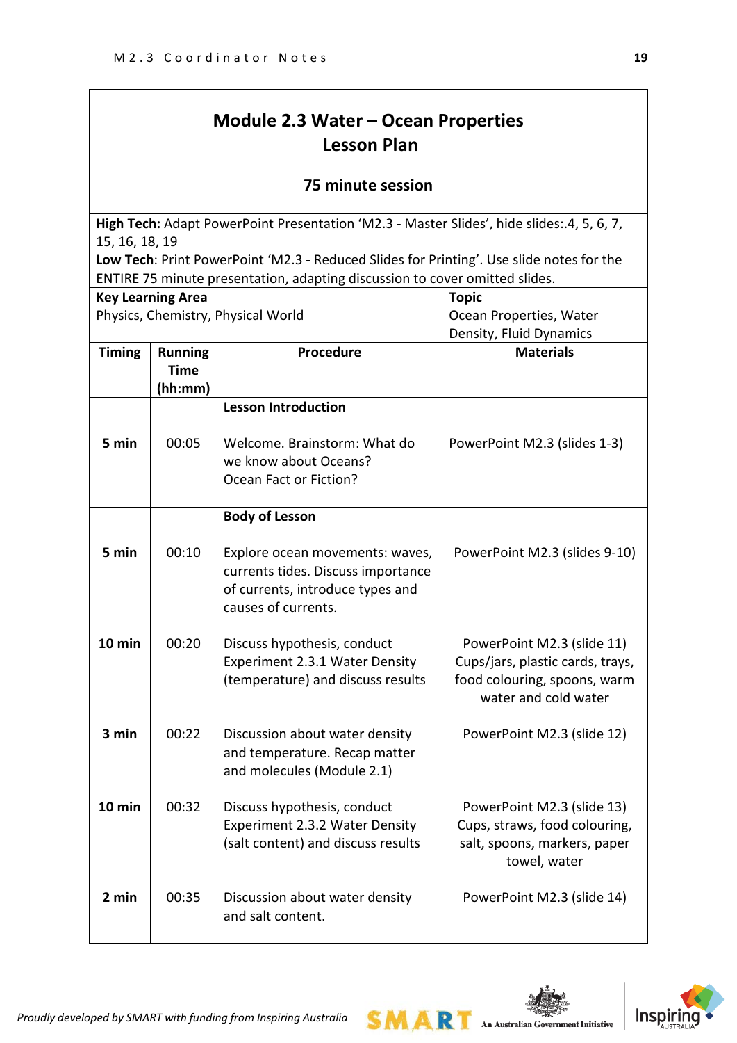# **Module 2.3 Water – Ocean Properties Lesson Plan**

### **75 minute session**

**High Tech:** Adapt PowerPoint Presentation 'M2.3 - Master Slides', hide slides:.4, 5, 6, 7, 15, 16, 18, 19

**Low Tech**: Print PowerPoint 'M2.3 - Reduced Slides for Printing'. Use slide notes for the ENTIRE 75 minute presentation, adapting discussion to cover omitted slides.

| <b>Key Learning Area</b>           |                                                       |                                                                                                               | <b>Topic</b>                                                                                                           |  |
|------------------------------------|-------------------------------------------------------|---------------------------------------------------------------------------------------------------------------|------------------------------------------------------------------------------------------------------------------------|--|
| Physics, Chemistry, Physical World |                                                       |                                                                                                               | Ocean Properties, Water                                                                                                |  |
|                                    |                                                       |                                                                                                               | Density, Fluid Dynamics                                                                                                |  |
| <b>Timing</b>                      | Procedure<br><b>Running</b><br><b>Time</b><br>(hh:mm) |                                                                                                               | <b>Materials</b>                                                                                                       |  |
| 5 min                              | 00:05                                                 | <b>Lesson Introduction</b><br>Welcome. Brainstorm: What do<br>we know about Oceans?<br>Ocean Fact or Fiction? | PowerPoint M2.3 (slides 1-3)                                                                                           |  |
| 5 min                              | 00:10                                                 | <b>Body of Lesson</b><br>Explore ocean movements: waves,                                                      | PowerPoint M2.3 (slides 9-10)                                                                                          |  |
|                                    |                                                       | currents tides. Discuss importance<br>of currents, introduce types and<br>causes of currents.                 |                                                                                                                        |  |
| $10$ min                           | 00:20                                                 | Discuss hypothesis, conduct<br>Experiment 2.3.1 Water Density<br>(temperature) and discuss results            | PowerPoint M2.3 (slide 11)<br>Cups/jars, plastic cards, trays,<br>food colouring, spoons, warm<br>water and cold water |  |
| 3 min                              | 00:22                                                 | Discussion about water density<br>and temperature. Recap matter<br>and molecules (Module 2.1)                 | PowerPoint M2.3 (slide 12)                                                                                             |  |
| $10$ min                           | 00:32                                                 | Discuss hypothesis, conduct<br>Experiment 2.3.2 Water Density<br>(salt content) and discuss results           | PowerPoint M2.3 (slide 13)<br>Cups, straws, food colouring,<br>salt, spoons, markers, paper<br>towel, water            |  |
| 2 min                              | 00:35                                                 | Discussion about water density<br>and salt content.                                                           | PowerPoint M2.3 (slide 14)                                                                                             |  |

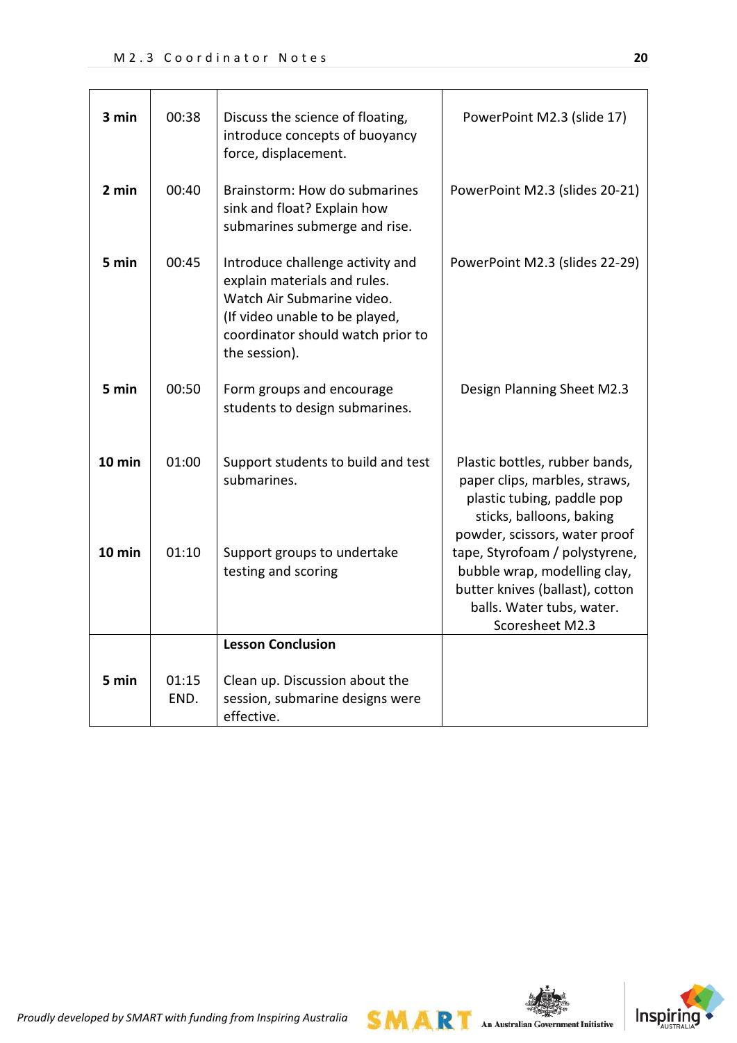| 3 min    | 00:38         | Discuss the science of floating,<br>introduce concepts of buoyancy<br>force, displacement.                                                                                             | PowerPoint M2.3 (slide 17)                                                                                                                                 |
|----------|---------------|----------------------------------------------------------------------------------------------------------------------------------------------------------------------------------------|------------------------------------------------------------------------------------------------------------------------------------------------------------|
| 2 min    | 00:40         | Brainstorm: How do submarines<br>sink and float? Explain how<br>submarines submerge and rise.                                                                                          | PowerPoint M2.3 (slides 20-21)                                                                                                                             |
| 5 min    | 00:45         | Introduce challenge activity and<br>explain materials and rules.<br>Watch Air Submarine video.<br>(If video unable to be played,<br>coordinator should watch prior to<br>the session). | PowerPoint M2.3 (slides 22-29)                                                                                                                             |
| 5 min    | 00:50         | Form groups and encourage<br>students to design submarines.                                                                                                                            | Design Planning Sheet M2.3                                                                                                                                 |
| $10$ min | 01:00         | Support students to build and test<br>submarines.                                                                                                                                      | Plastic bottles, rubber bands,<br>paper clips, marbles, straws,<br>plastic tubing, paddle pop<br>sticks, balloons, baking<br>powder, scissors, water proof |
| $10$ min | 01:10         | Support groups to undertake<br>testing and scoring                                                                                                                                     | tape, Styrofoam / polystyrene,<br>bubble wrap, modelling clay,<br>butter knives (ballast), cotton<br>balls. Water tubs, water.<br>Scoresheet M2.3          |
|          |               | <b>Lesson Conclusion</b>                                                                                                                                                               |                                                                                                                                                            |
| 5 min    | 01:15<br>END. | Clean up. Discussion about the<br>session, submarine designs were<br>effective.                                                                                                        |                                                                                                                                                            |



*Proudly developed by SMART with funding from Inspiring Australia*

**SMART** An Australian Government Initiative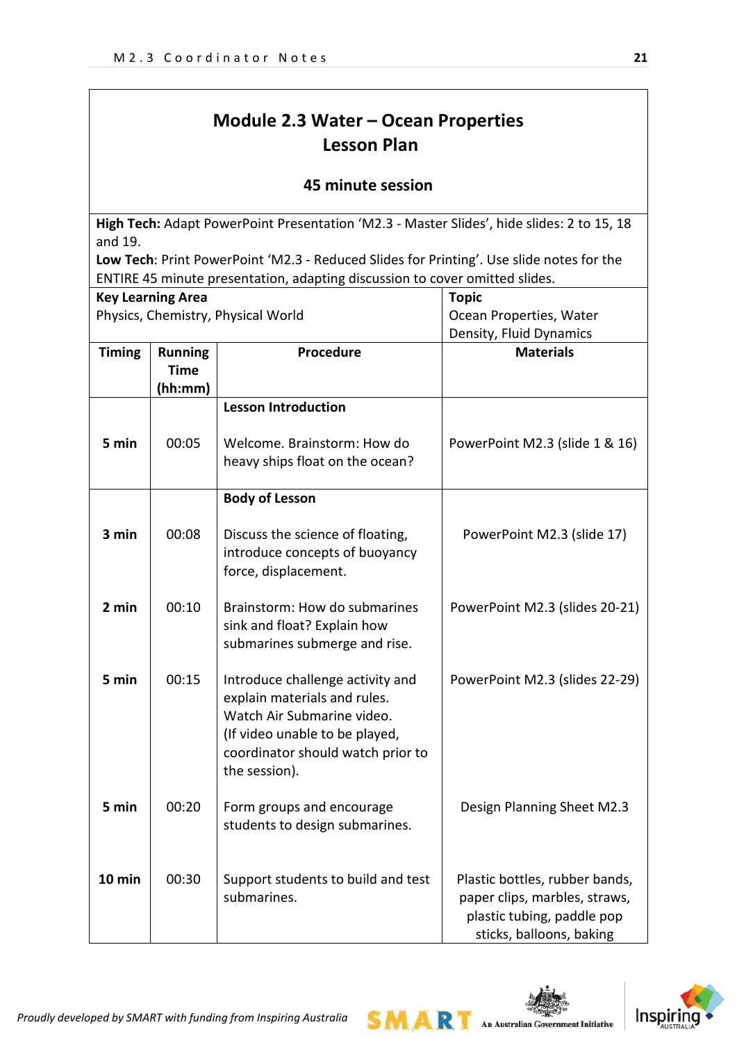# **Module 2.3 Water – Ocean Properties Lesson Plan**

### **45 minute session**

**High Tech:** Adapt PowerPoint Presentation 'M2.3 - Master Slides', hide slides: 2 to 15, 18 and 19.

**Low Tech**: Print PowerPoint 'M2.3 - Reduced Slides for Printing'. Use slide notes for the ENTIRE 45 minute presentation, adapting discussion to cover omitted slides.

| <b>Key Learning Area</b><br>Physics, Chemistry, Physical World |                                          |                                                                                                                                                                                        | <b>Topic</b><br>Ocean Properties, Water                                                                                   |  |
|----------------------------------------------------------------|------------------------------------------|----------------------------------------------------------------------------------------------------------------------------------------------------------------------------------------|---------------------------------------------------------------------------------------------------------------------------|--|
|                                                                |                                          |                                                                                                                                                                                        |                                                                                                                           |  |
| <b>Timing</b>                                                  | <b>Running</b><br><b>Time</b><br>(hh:mm) | Procedure                                                                                                                                                                              | <b>Materials</b>                                                                                                          |  |
|                                                                |                                          | <b>Lesson Introduction</b>                                                                                                                                                             |                                                                                                                           |  |
| 5 min                                                          | 00:05                                    | Welcome. Brainstorm: How do<br>heavy ships float on the ocean?                                                                                                                         | PowerPoint M2.3 (slide 1 & 16)                                                                                            |  |
|                                                                |                                          | <b>Body of Lesson</b>                                                                                                                                                                  |                                                                                                                           |  |
| 3 min                                                          | 00:08                                    | Discuss the science of floating,<br>introduce concepts of buoyancy<br>force, displacement.                                                                                             | PowerPoint M2.3 (slide 17)                                                                                                |  |
| 2 min                                                          | 00:10                                    | Brainstorm: How do submarines<br>sink and float? Explain how<br>submarines submerge and rise.                                                                                          | PowerPoint M2.3 (slides 20-21)                                                                                            |  |
| 5 min                                                          | 00:15                                    | Introduce challenge activity and<br>explain materials and rules.<br>Watch Air Submarine video.<br>(If video unable to be played,<br>coordinator should watch prior to<br>the session). | PowerPoint M2.3 (slides 22-29)                                                                                            |  |
| 5 min                                                          | 00:20                                    | Form groups and encourage<br>students to design submarines.                                                                                                                            | Design Planning Sheet M2.3                                                                                                |  |
| $10$ min                                                       | 00:30                                    | Support students to build and test<br>submarines.                                                                                                                                      | Plastic bottles, rubber bands,<br>paper clips, marbles, straws,<br>plastic tubing, paddle pop<br>sticks, balloons, baking |  |

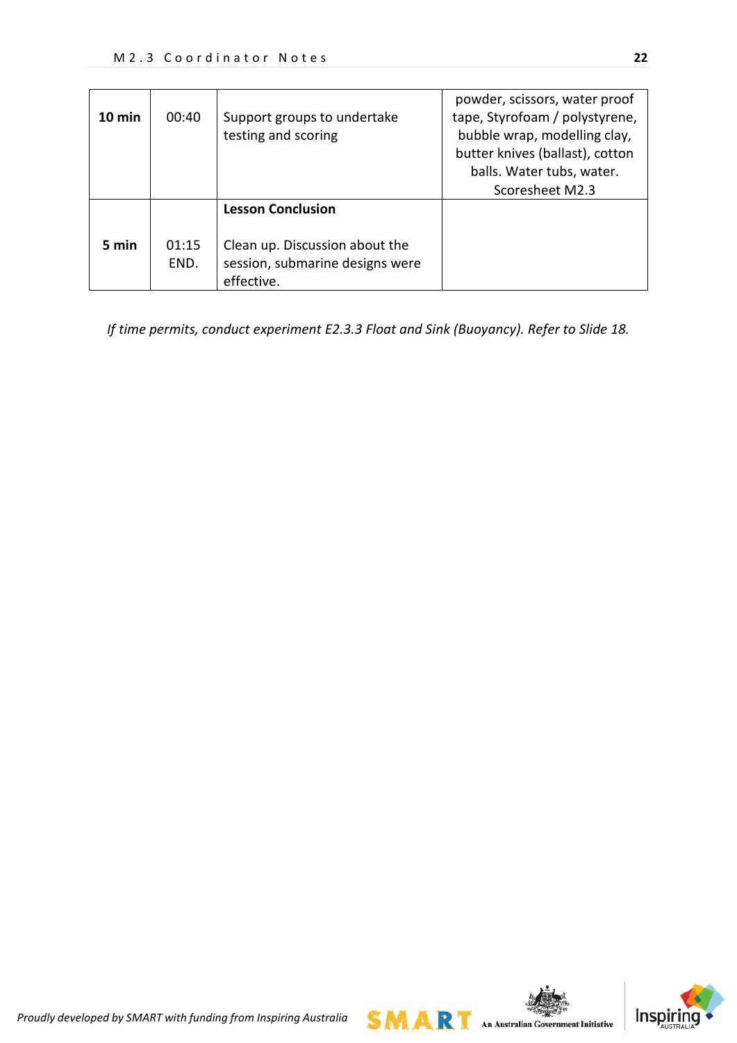| 10 min | 00:40         | Support groups to undertake<br>testing and scoring                                                          | powder, scissors, water proof<br>tape, Styrofoam / polystyrene,<br>bubble wrap, modelling clay,<br>butter knives (ballast), cotton<br>balls. Water tubs, water.<br>Scoresheet M2.3 |
|--------|---------------|-------------------------------------------------------------------------------------------------------------|------------------------------------------------------------------------------------------------------------------------------------------------------------------------------------|
| 5 min  | 01:15<br>END. | <b>Lesson Conclusion</b><br>Clean up. Discussion about the<br>session, submarine designs were<br>effective. |                                                                                                                                                                                    |

*If time permits, conduct experiment E2.3.3 Float and Sink (Buoyancy). Refer to Slide 18.*

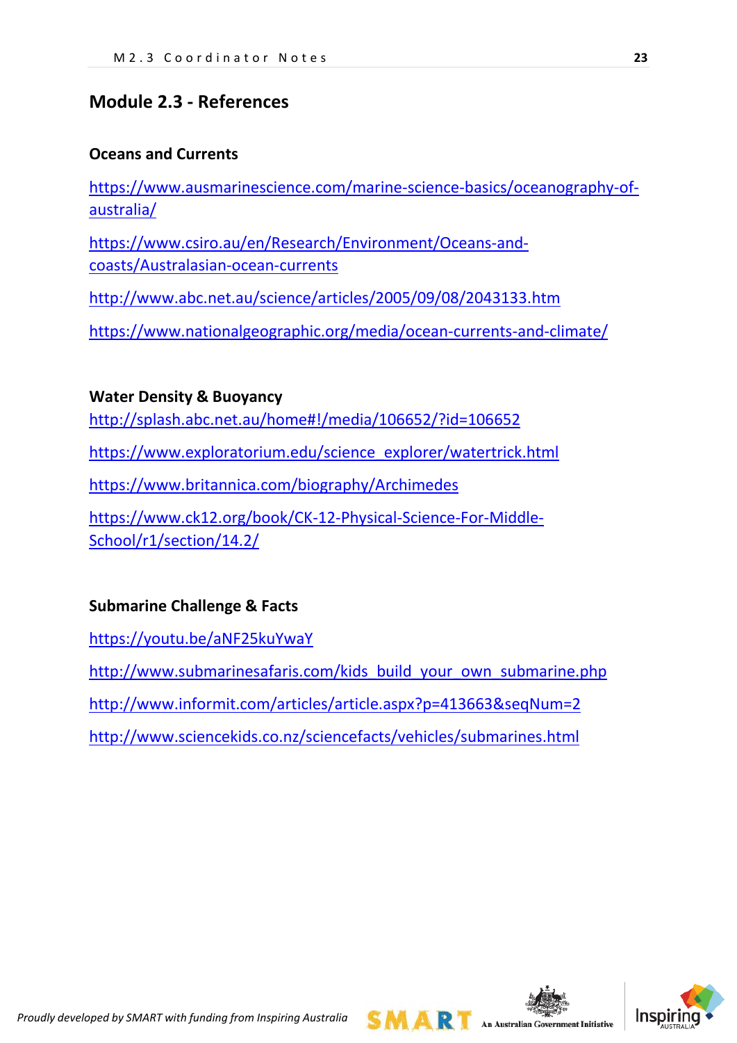# **Module 2.3 - References**

## **Oceans and Currents**

[https://www.ausmarinescience.com/marine-science-basics/oceanography-of](https://www.ausmarinescience.com/marine-science-basics/oceanography-of-australia/)[australia/](https://www.ausmarinescience.com/marine-science-basics/oceanography-of-australia/)

[https://www.csiro.au/en/Research/Environment/Oceans-and](https://www.csiro.au/en/Research/Environment/Oceans-and-coasts/Australasian-ocean-currents)[coasts/Australasian-ocean-currents](https://www.csiro.au/en/Research/Environment/Oceans-and-coasts/Australasian-ocean-currents)

<http://www.abc.net.au/science/articles/2005/09/08/2043133.htm>

<https://www.nationalgeographic.org/media/ocean-currents-and-climate/>

## **Water Density & Buoyancy**

[http://splash.abc.net.au/home#!/media/106652/?id=106652](http://splash.abc.net.au/home)

[https://www.exploratorium.edu/science\\_explorer/watertrick.html](https://www.exploratorium.edu/science_explorer/watertrick.html)

<https://www.britannica.com/biography/Archimedes>

[https://www.ck12.org/book/CK-12-Physical-Science-For-Middle-](https://www.ck12.org/book/CK-12-Physical-Science-For-Middle-School/r1/section/14.2/)[School/r1/section/14.2/](https://www.ck12.org/book/CK-12-Physical-Science-For-Middle-School/r1/section/14.2/)

## **Submarine Challenge & Facts**

<https://youtu.be/aNF25kuYwaY>

[http://www.submarinesafaris.com/kids\\_build\\_your\\_own\\_submarine.php](http://www.submarinesafaris.com/kids_build_your_own_submarine.php)

<http://www.informit.com/articles/article.aspx?p=413663&seqNum=2>

<http://www.sciencekids.co.nz/sciencefacts/vehicles/submarines.html>



**SMAR** An Australian Government Initiative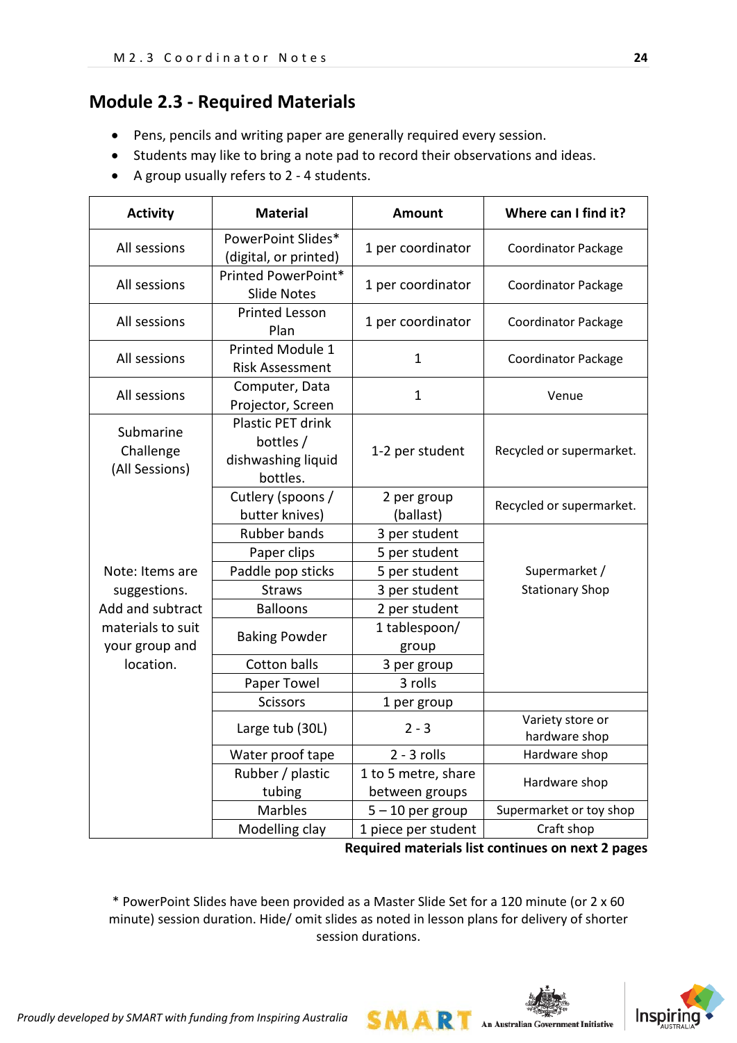# **Module 2.3 - Required Materials**

- Pens, pencils and writing paper are generally required every session.
- Students may like to bring a note pad to record their observations and ideas.
- A group usually refers to 2 4 students.

| <b>Activity</b>                          | <b>Material</b>                                                  | <b>Amount</b>            | Where can I find it?              |
|------------------------------------------|------------------------------------------------------------------|--------------------------|-----------------------------------|
| All sessions                             | PowerPoint Slides*<br>(digital, or printed)                      | 1 per coordinator        | <b>Coordinator Package</b>        |
| All sessions                             | Printed PowerPoint*<br><b>Slide Notes</b>                        | 1 per coordinator        | <b>Coordinator Package</b>        |
| All sessions                             | <b>Printed Lesson</b><br>Plan                                    | 1 per coordinator        | <b>Coordinator Package</b>        |
| All sessions                             | <b>Printed Module 1</b><br><b>Risk Assessment</b>                | 1                        | <b>Coordinator Package</b>        |
| All sessions                             | Computer, Data<br>Projector, Screen                              | $\mathbf{1}$             | Venue                             |
| Submarine<br>Challenge<br>(All Sessions) | Plastic PET drink<br>bottles /<br>dishwashing liquid<br>bottles. | 1-2 per student          | Recycled or supermarket.          |
|                                          | Cutlery (spoons /<br>butter knives)                              | 2 per group<br>(ballast) | Recycled or supermarket.          |
|                                          | Rubber bands                                                     | 3 per student            |                                   |
|                                          | Paper clips                                                      | 5 per student            |                                   |
| Note: Items are                          | Paddle pop sticks                                                | 5 per student            | Supermarket /                     |
| suggestions.                             | <b>Straws</b>                                                    | 3 per student            | <b>Stationary Shop</b>            |
| Add and subtract                         | <b>Balloons</b>                                                  | 2 per student            |                                   |
| materials to suit<br>your group and      | <b>Baking Powder</b>                                             | 1 tablespoon/<br>group   |                                   |
| location.                                | <b>Cotton balls</b>                                              | 3 per group              |                                   |
|                                          | Paper Towel                                                      | 3 rolls                  |                                   |
|                                          | Scissors                                                         | 1 per group              |                                   |
|                                          | Large tub (30L)                                                  | $2 - 3$                  | Variety store or<br>hardware shop |
|                                          | Water proof tape                                                 | $2 - 3$ rolls            | Hardware shop                     |
|                                          | Rubber / plastic                                                 | 1 to 5 metre, share      | Hardware shop                     |
|                                          | tubing                                                           | between groups           |                                   |
|                                          | <b>Marbles</b>                                                   | $5 - 10$ per group       | Supermarket or toy shop           |
|                                          | Modelling clay                                                   | 1 piece per student      | Craft shop                        |

**Required materials list continues on next 2 pages**

**SMART** An Australian Government Initiative

\* PowerPoint Slides have been provided as a Master Slide Set for a 120 minute (or 2 x 60 minute) session duration. Hide/ omit slides as noted in lesson plans for delivery of shorter session durations.

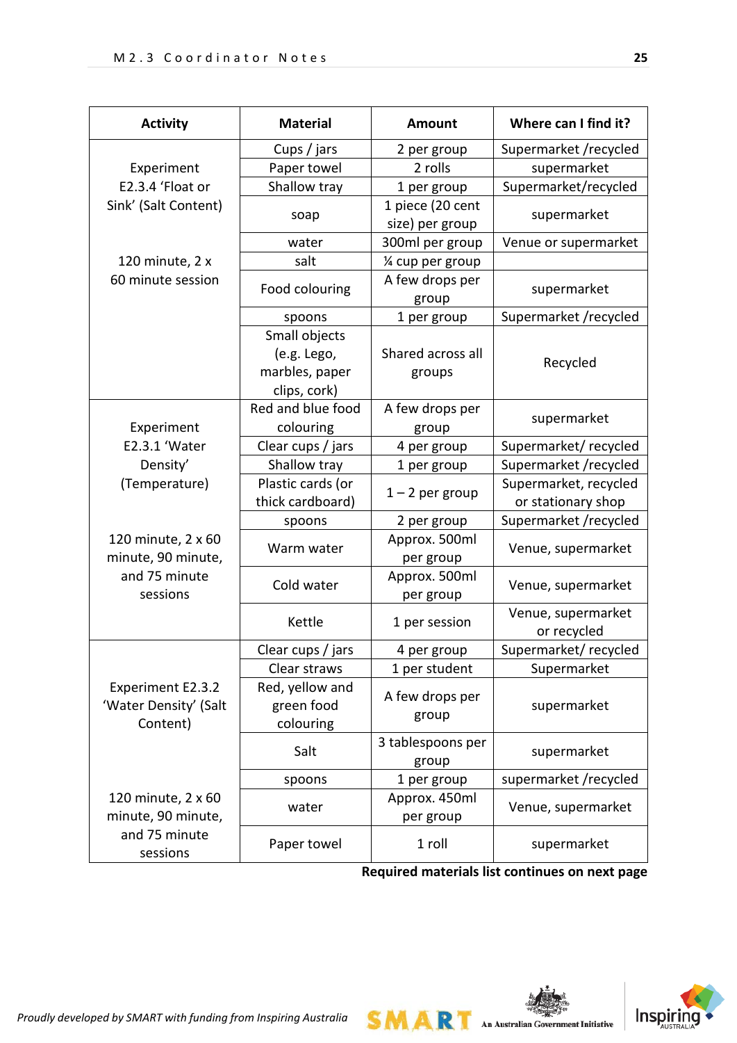| <b>Activity</b>                                        | <b>Material</b>                                                | <b>Amount</b>                       | Where can I find it?                        |
|--------------------------------------------------------|----------------------------------------------------------------|-------------------------------------|---------------------------------------------|
|                                                        | Cups / jars                                                    | 2 per group                         | Supermarket /recycled                       |
| Experiment                                             | Paper towel                                                    | 2 rolls                             | supermarket                                 |
| E2.3.4 'Float or                                       | Shallow tray                                                   | 1 per group                         | Supermarket/recycled                        |
| Sink' (Salt Content)                                   | soap                                                           | 1 piece (20 cent<br>size) per group | supermarket                                 |
|                                                        | water                                                          | 300ml per group                     | Venue or supermarket                        |
| 120 minute, 2 x                                        | salt                                                           | 1⁄4 cup per group                   |                                             |
| 60 minute session                                      | Food colouring                                                 | A few drops per<br>group            | supermarket                                 |
|                                                        | spoons                                                         | 1 per group                         | Supermarket /recycled                       |
|                                                        | Small objects<br>(e.g. Lego,<br>marbles, paper<br>clips, cork) | Shared across all<br>groups         | Recycled                                    |
| Experiment                                             | Red and blue food<br>colouring                                 | A few drops per<br>group            | supermarket                                 |
| E2.3.1 'Water                                          | Clear cups / jars                                              | 4 per group                         | Supermarket/recycled                        |
| Density'                                               | Shallow tray                                                   | 1 per group                         | Supermarket /recycled                       |
| (Temperature)                                          | Plastic cards (or<br>thick cardboard)                          | $1 - 2$ per group                   | Supermarket, recycled<br>or stationary shop |
|                                                        | spoons                                                         | 2 per group                         | Supermarket /recycled                       |
| 120 minute, 2 x 60<br>minute, 90 minute,               | Warm water                                                     | Approx. 500ml<br>per group          | Venue, supermarket                          |
| and 75 minute<br>sessions                              | Cold water                                                     | Approx. 500ml<br>per group          | Venue, supermarket                          |
|                                                        | Kettle                                                         | 1 per session                       | Venue, supermarket<br>or recycled           |
|                                                        | Clear cups / jars                                              | 4 per group                         | Supermarket/recycled                        |
|                                                        | Clear straws                                                   | 1 per student                       | Supermarket                                 |
| Experiment E2.3.2<br>'Water Density' (Salt<br>Content) | Red, yellow and<br>green food<br>colouring                     | A few drops per<br>group            | supermarket                                 |
|                                                        | Salt                                                           | 3 tablespoons per<br>group          | supermarket                                 |
|                                                        | spoons                                                         | 1 per group                         | supermarket /recycled                       |
| 120 minute, 2 x 60<br>minute, 90 minute,               | water                                                          | Approx. 450ml<br>per group          | Venue, supermarket                          |
| and 75 minute<br>sessions                              | Paper towel                                                    | 1 roll                              | supermarket                                 |

**Required materials list continues on next page**

**SMART** An Australian Government Initiative